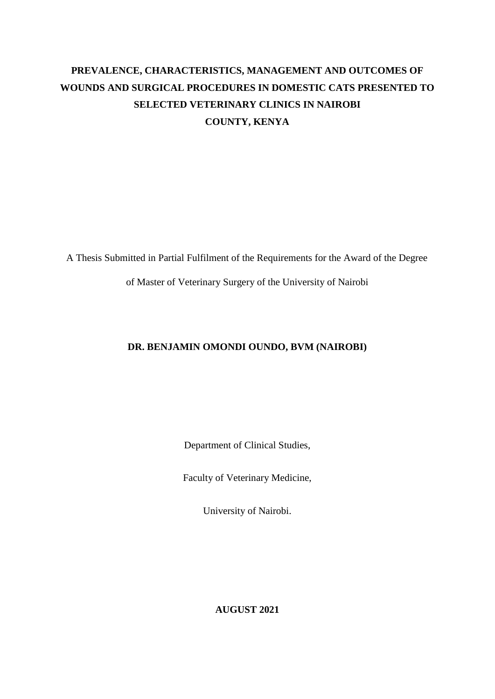# <span id="page-0-0"></span>**PREVALENCE, CHARACTERISTICS, MANAGEMENT AND OUTCOMES OF WOUNDS AND SURGICAL PROCEDURES IN DOMESTIC CATS PRESENTED TO SELECTED VETERINARY CLINICS IN NAIROBI COUNTY, KENYA**

A Thesis Submitted in Partial Fulfilment of the Requirements for the Award of the Degree

of Master of Veterinary Surgery of the University of Nairobi

### **DR. BENJAMIN OMONDI OUNDO, BVM (NAIROBI)**

Department of Clinical Studies,

Faculty of Veterinary Medicine,

University of Nairobi.

**AUGUST 2021**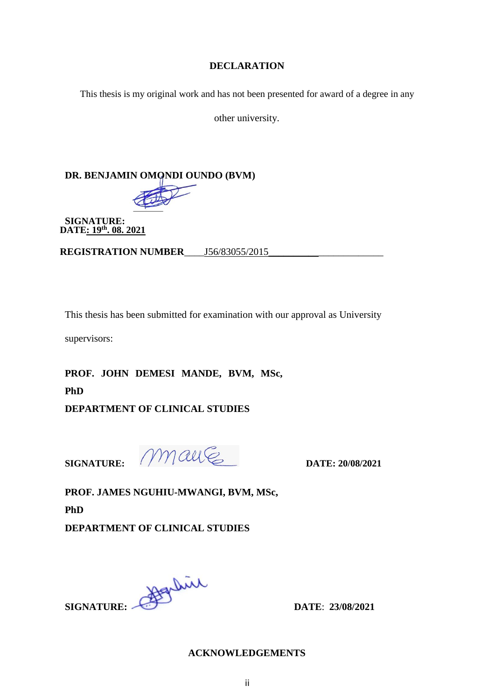#### **DECLARATION**

This thesis is my original work and has not been presented for award of a degree in any

other university.

## **DR. BENJAMIN OMONDI OUNDO (BVM)**



**SIGNATURE: DATE: 19th. 08. 2021**

**REGISTRATION NUMBER** \_\_\_\_\_ J56/83055/2015

This thesis has been submitted for examination with our approval as University

supervisors:

**PROF. JOHN DEMESI MANDE, BVM, MSc, PhD DEPARTMENT OF CLINICAL STUDIES**

**SIGNATURE: DATE: 20/08/2021**

**PROF. JAMES NGUHIU-MWANGI, BVM, MSc, PhD** 

**DEPARTMENT OF CLINICAL STUDIES**

<span id="page-1-0"></span>**SIGNATURE: DATE**: **23/08/2021**

**ACKNOWLEDGEMENTS**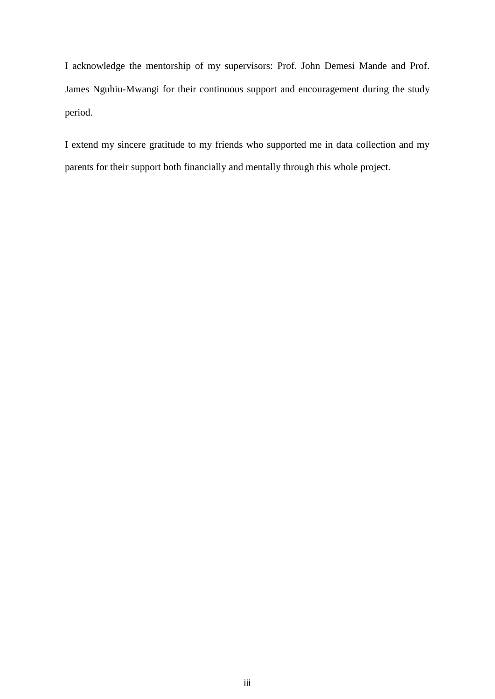I acknowledge the mentorship of my supervisors: Prof. John Demesi Mande and Prof. James Nguhiu-Mwangi for their continuous support and encouragement during the study period.

I extend my sincere gratitude to my friends who supported me in data collection and my parents for their support both financially and mentally through this whole project.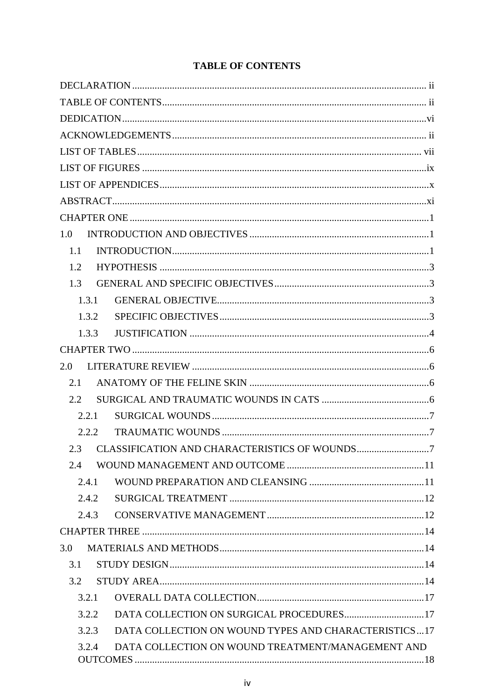## **TABLE OF CONTENTS**

| 1.0           |                                                               |  |
|---------------|---------------------------------------------------------------|--|
| 1.1           |                                                               |  |
| 1.2           |                                                               |  |
| 1.3           |                                                               |  |
|               | 1.3.1                                                         |  |
|               | 1.3.2                                                         |  |
|               | 1.3.3                                                         |  |
|               |                                                               |  |
| 2.0           |                                                               |  |
| 2.1           |                                                               |  |
| $2.2^{\circ}$ |                                                               |  |
|               | 2.2.1                                                         |  |
|               | 2.2.2                                                         |  |
| $2.3^{\circ}$ |                                                               |  |
| 2.4           |                                                               |  |
|               | 2.4.1                                                         |  |
|               | 2.4.2                                                         |  |
|               | 2.4.3                                                         |  |
|               |                                                               |  |
| 3.0           |                                                               |  |
| 3.1           |                                                               |  |
| 3.2           |                                                               |  |
|               | 3.2.1                                                         |  |
|               | DATA COLLECTION ON SURGICAL PROCEDURES17<br>3.2.2             |  |
|               | DATA COLLECTION ON WOUND TYPES AND CHARACTERISTICS17<br>3.2.3 |  |
|               | DATA COLLECTION ON WOUND TREATMENT/MANAGEMENT AND<br>3.2.4    |  |
|               |                                                               |  |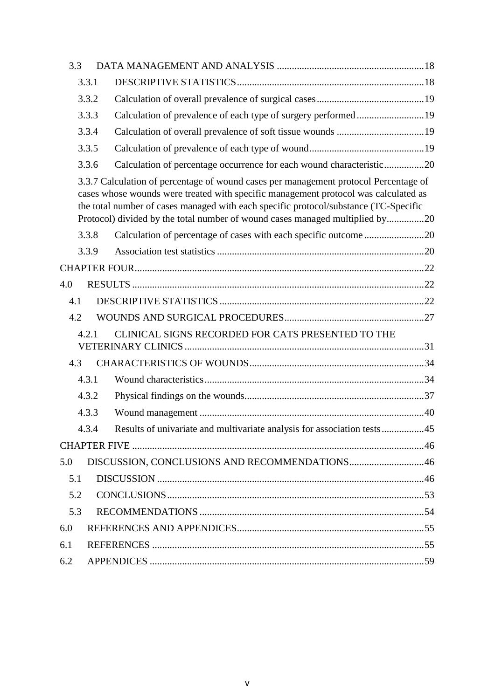<span id="page-4-0"></span>

| 3.3 |       |                                                                                                                                                                                                                                                                                                                                                     |  |
|-----|-------|-----------------------------------------------------------------------------------------------------------------------------------------------------------------------------------------------------------------------------------------------------------------------------------------------------------------------------------------------------|--|
|     | 3.3.1 |                                                                                                                                                                                                                                                                                                                                                     |  |
|     | 3.3.2 |                                                                                                                                                                                                                                                                                                                                                     |  |
|     | 3.3.3 | Calculation of prevalence of each type of surgery performed19                                                                                                                                                                                                                                                                                       |  |
|     | 3.3.4 |                                                                                                                                                                                                                                                                                                                                                     |  |
|     | 3.3.5 |                                                                                                                                                                                                                                                                                                                                                     |  |
|     | 3.3.6 | Calculation of percentage occurrence for each wound characteristic20                                                                                                                                                                                                                                                                                |  |
|     |       | 3.3.7 Calculation of percentage of wound cases per management protocol Percentage of<br>cases whose wounds were treated with specific management protocol was calculated as<br>the total number of cases managed with each specific protocol/substance (TC-Specific<br>Protocol) divided by the total number of wound cases managed multiplied by20 |  |
|     | 3.3.8 | Calculation of percentage of cases with each specific outcome20                                                                                                                                                                                                                                                                                     |  |
|     | 3.3.9 |                                                                                                                                                                                                                                                                                                                                                     |  |
|     |       |                                                                                                                                                                                                                                                                                                                                                     |  |
| 4.0 |       |                                                                                                                                                                                                                                                                                                                                                     |  |
| 4.1 |       |                                                                                                                                                                                                                                                                                                                                                     |  |
| 4.2 |       |                                                                                                                                                                                                                                                                                                                                                     |  |
|     | 4.2.1 | CLINICAL SIGNS RECORDED FOR CATS PRESENTED TO THE                                                                                                                                                                                                                                                                                                   |  |
| 4.3 |       |                                                                                                                                                                                                                                                                                                                                                     |  |
|     | 4.3.1 |                                                                                                                                                                                                                                                                                                                                                     |  |
|     | 4.3.2 |                                                                                                                                                                                                                                                                                                                                                     |  |
|     | 4.3.3 |                                                                                                                                                                                                                                                                                                                                                     |  |
|     | 4.3.4 | Results of univariate and multivariate analysis for association tests45                                                                                                                                                                                                                                                                             |  |
|     |       |                                                                                                                                                                                                                                                                                                                                                     |  |
| 5.0 |       | DISCUSSION, CONCLUSIONS AND RECOMMENDATIONS46                                                                                                                                                                                                                                                                                                       |  |
| 5.1 |       |                                                                                                                                                                                                                                                                                                                                                     |  |
| 5.2 |       |                                                                                                                                                                                                                                                                                                                                                     |  |
| 5.3 |       |                                                                                                                                                                                                                                                                                                                                                     |  |
| 6.0 |       |                                                                                                                                                                                                                                                                                                                                                     |  |
| 6.1 |       |                                                                                                                                                                                                                                                                                                                                                     |  |
| 6.2 |       |                                                                                                                                                                                                                                                                                                                                                     |  |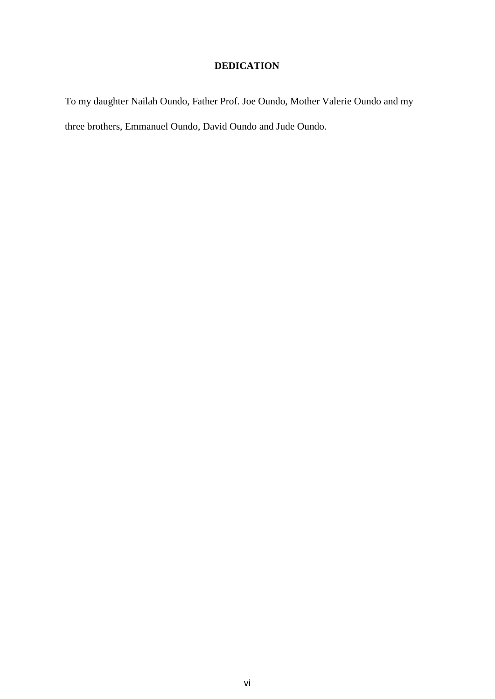# **DEDICATION**

To my daughter Nailah Oundo, Father Prof. Joe Oundo, Mother Valerie Oundo and my three brothers, Emmanuel Oundo, David Oundo and Jude Oundo.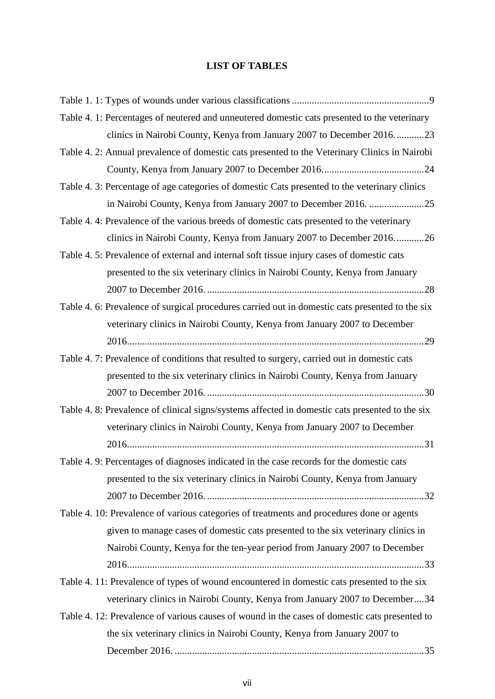## **LIST OF TABLES**

<span id="page-6-0"></span>

| Table 4. 1: Percentages of neutered and unneutered domestic cats presented to the veterinary    |
|-------------------------------------------------------------------------------------------------|
| clinics in Nairobi County, Kenya from January 2007 to December 201623                           |
| Table 4. 2: Annual prevalence of domestic cats presented to the Veterinary Clinics in Nairobi   |
|                                                                                                 |
| Table 4. 3: Percentage of age categories of domestic Cats presented to the veterinary clinics   |
|                                                                                                 |
| Table 4.4: Prevalence of the various breeds of domestic cats presented to the veterinary        |
| clinics in Nairobi County, Kenya from January 2007 to December 201626                           |
| Table 4. 5: Prevalence of external and internal soft tissue injury cases of domestic cats       |
| presented to the six veterinary clinics in Nairobi County, Kenya from January                   |
|                                                                                                 |
| Table 4. 6: Prevalence of surgical procedures carried out in domestic cats presented to the six |
| veterinary clinics in Nairobi County, Kenya from January 2007 to December                       |
|                                                                                                 |
| Table 4. 7: Prevalence of conditions that resulted to surgery, carried out in domestic cats     |
| presented to the six veterinary clinics in Nairobi County, Kenya from January                   |
|                                                                                                 |
| Table 4. 8: Prevalence of clinical signs/systems affected in domestic cats presented to the six |
| veterinary clinics in Nairobi County, Kenya from January 2007 to December                       |
|                                                                                                 |
| Table 4. 9: Percentages of diagnoses indicated in the case records for the domestic cats        |
| presented to the six veterinary clinics in Nairobi County, Kenya from January                   |
|                                                                                                 |
| Table 4. 10: Prevalence of various categories of treatments and procedures done or agents       |
| given to manage cases of domestic cats presented to the six veterinary clinics in               |
| Nairobi County, Kenya for the ten-year period from January 2007 to December                     |
|                                                                                                 |
| Table 4. 11: Prevalence of types of wound encountered in domestic cats presented to the six     |
| veterinary clinics in Nairobi County, Kenya from January 2007 to December34                     |
| Table 4. 12: Prevalence of various causes of wound in the cases of domestic cats presented to   |
| the six veterinary clinics in Nairobi County, Kenya from January 2007 to                        |
|                                                                                                 |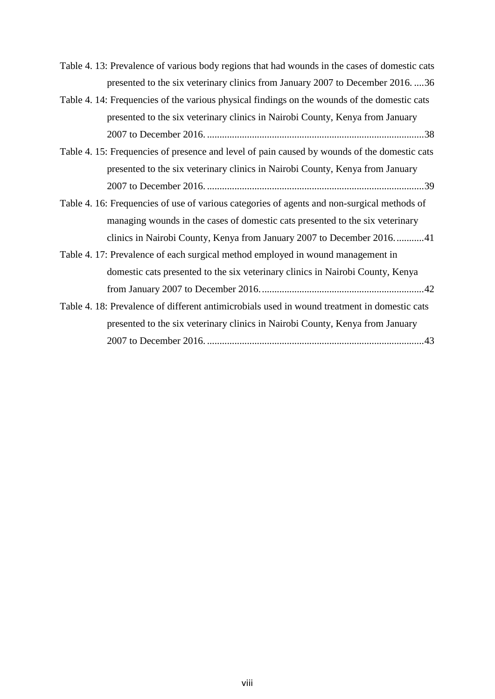[Table 4. 13: Prevalence of various body regions that had wounds in the cases of domestic cats](#page-48-0)  [presented to the six veterinary clinics from January 2007 to December 2016.](#page-48-0) ....36

| Table 4. 14: Frequencies of the various physical findings on the wounds of the domestic cats |      |
|----------------------------------------------------------------------------------------------|------|
| presented to the six veterinary clinics in Nairobi County, Kenya from January                |      |
|                                                                                              | . 38 |

- [Table 4. 15: Frequencies of presence and level of](#page-51-0) pain caused by wounds of the domestic cats [presented to the six veterinary clinics in Nairobi County, Kenya from January](#page-51-0)  2007 to December 2016. [.......................................................................................39](#page-51-0)
- [Table 4. 16: Frequencies of use of various categories of agents and non-surgical methods of](#page-53-0)  managing [wounds in the cases of domestic cats presented to the six veterinary](#page-53-0)  [clinics in Nairobi County, Kenya from January 2007 to December 2016............41](#page-53-0)
- [Table 4. 17: Prevalence of each surgical method employed in wound management in](#page-54-0)  [domestic cats presented to the six veterinary clinics in Nairobi County, Kenya](#page-54-0)  [from January 2007 to December 2016..................................................................42](#page-54-0)
- [Table 4. 18: Prevalence of different antimicrobials used in wound treatment in domestic cats](#page-55-0)  [presented to the six veterinary clinics in Nairobi County, Kenya from January](#page-55-0)  2007 to December 2016. [.......................................................................................43](#page-55-0)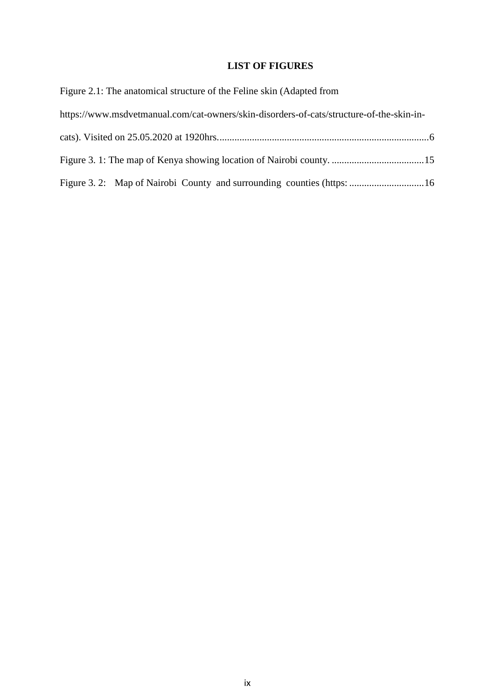### **LIST OF FIGURES**

<span id="page-8-0"></span>

| Figure 2.1: The anatomical structure of the Feline skin (Adapted from                    |
|------------------------------------------------------------------------------------------|
| https://www.msdvetmanual.com/cat-owners/skin-disorders-of-cats/structure-of-the-skin-in- |
|                                                                                          |
|                                                                                          |
|                                                                                          |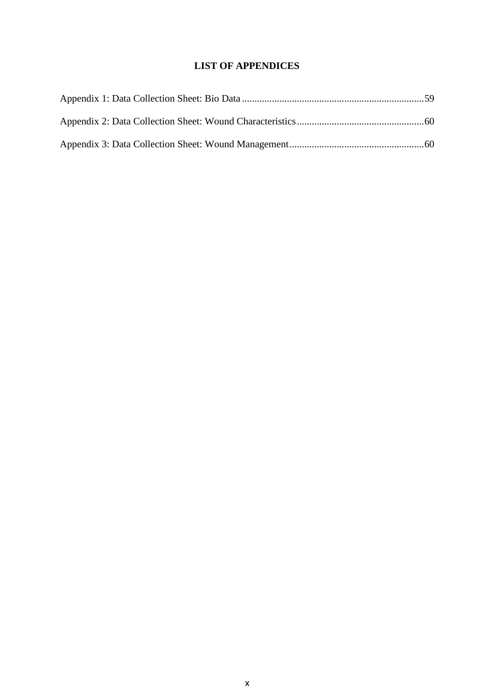## **LIST OF APPENDICES**

<span id="page-9-0"></span>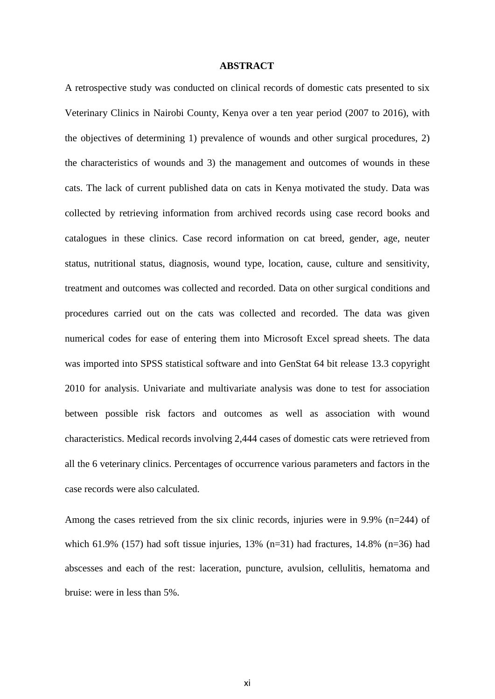#### **ABSTRACT**

<span id="page-10-0"></span>A retrospective study was conducted on clinical records of domestic cats presented to six Veterinary Clinics in Nairobi County, Kenya over a ten year period (2007 to 2016), with the objectives of determining 1) prevalence of wounds and other surgical procedures, 2) the characteristics of wounds and 3) the management and outcomes of wounds in these cats. The lack of current published data on cats in Kenya motivated the study. Data was collected by retrieving information from archived records using case record books and catalogues in these clinics. Case record information on cat breed, gender, age, neuter status, nutritional status, diagnosis, wound type, location, cause, culture and sensitivity, treatment and outcomes was collected and recorded. Data on other surgical conditions and procedures carried out on the cats was collected and recorded. The data was given numerical codes for ease of entering them into Microsoft Excel spread sheets. The data was imported into SPSS statistical software and into GenStat 64 bit release 13.3 copyright 2010 for analysis. Univariate and multivariate analysis was done to test for association between possible risk factors and outcomes as well as association with wound characteristics. Medical records involving 2,444 cases of domestic cats were retrieved from all the 6 veterinary clinics. Percentages of occurrence various parameters and factors in the case records were also calculated.

Among the cases retrieved from the six clinic records, injuries were in 9.9% ( $n=244$ ) of which 61.9% (157) had soft tissue injuries, 13% (n=31) had fractures, 14.8% (n=36) had abscesses and each of the rest: laceration, puncture, avulsion, cellulitis, hematoma and bruise: were in less than 5%.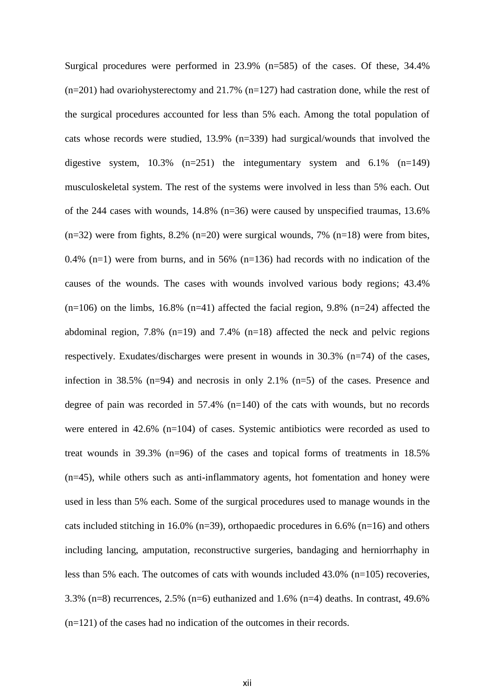Surgical procedures were performed in 23.9% (n=585) of the cases. Of these, 34.4%  $(n=201)$  had ovariohysterectomy and 21.7%  $(n=127)$  had castration done, while the rest of the surgical procedures accounted for less than 5% each. Among the total population of cats whose records were studied, 13.9% (n=339) had surgical/wounds that involved the digestive system,  $10.3\%$  (n=251) the integumentary system and 6.1% (n=149) musculoskeletal system. The rest of the systems were involved in less than 5% each. Out of the 244 cases with wounds, 14.8% (n=36) were caused by unspecified traumas, 13.6%  $(n=32)$  were from fights, 8.2%  $(n=20)$  were surgical wounds, 7%  $(n=18)$  were from bites, 0.4% (n=1) were from burns, and in 56% (n=136) had records with no indication of the causes of the wounds. The cases with wounds involved various body regions; 43.4%  $(n=106)$  on the limbs, 16.8%  $(n=41)$  affected the facial region, 9.8%  $(n=24)$  affected the abdominal region, 7.8% (n=19) and 7.4% (n=18) affected the neck and pelvic regions respectively. Exudates/discharges were present in wounds in 30.3% (n=74) of the cases, infection in  $38.5\%$  (n=94) and necrosis in only  $2.1\%$  (n=5) of the cases. Presence and degree of pain was recorded in  $57.4\%$  (n=140) of the cats with wounds, but no records were entered in 42.6% (n=104) of cases. Systemic antibiotics were recorded as used to treat wounds in 39.3% (n=96) of the cases and topical forms of treatments in 18.5% (n=45), while others such as anti-inflammatory agents, hot fomentation and honey were used in less than 5% each. Some of the surgical procedures used to manage wounds in the cats included stitching in 16.0% (n=39), orthopaedic procedures in 6.6% (n=16) and others including lancing, amputation, reconstructive surgeries, bandaging and herniorrhaphy in less than 5% each. The outcomes of cats with wounds included 43.0% (n=105) recoveries, 3.3% (n=8) recurrences, 2.5% (n=6) euthanized and 1.6% (n=4) deaths. In contrast, 49.6% (n=121) of the cases had no indication of the outcomes in their records.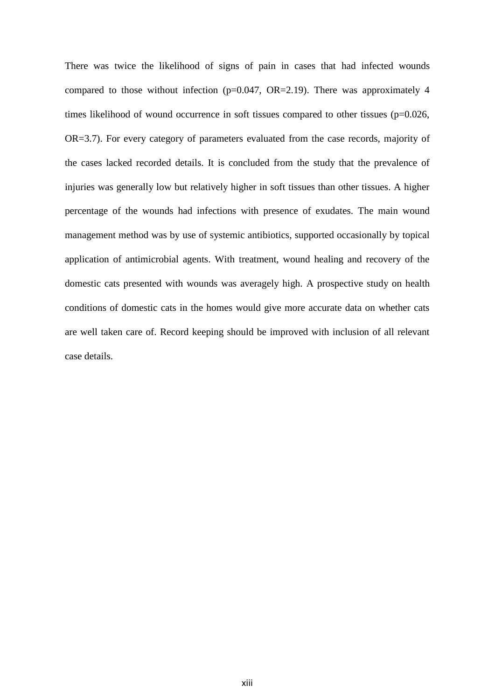There was twice the likelihood of signs of pain in cases that had infected wounds compared to those without infection ( $p=0.047$ ,  $OR=2.19$ ). There was approximately 4 times likelihood of wound occurrence in soft tissues compared to other tissues (p=0.026, OR=3.7). For every category of parameters evaluated from the case records, majority of the cases lacked recorded details. It is concluded from the study that the prevalence of injuries was generally low but relatively higher in soft tissues than other tissues. A higher percentage of the wounds had infections with presence of exudates. The main wound management method was by use of systemic antibiotics, supported occasionally by topical application of antimicrobial agents. With treatment, wound healing and recovery of the domestic cats presented with wounds was averagely high. A prospective study on health conditions of domestic cats in the homes would give more accurate data on whether cats are well taken care of. Record keeping should be improved with inclusion of all relevant case details.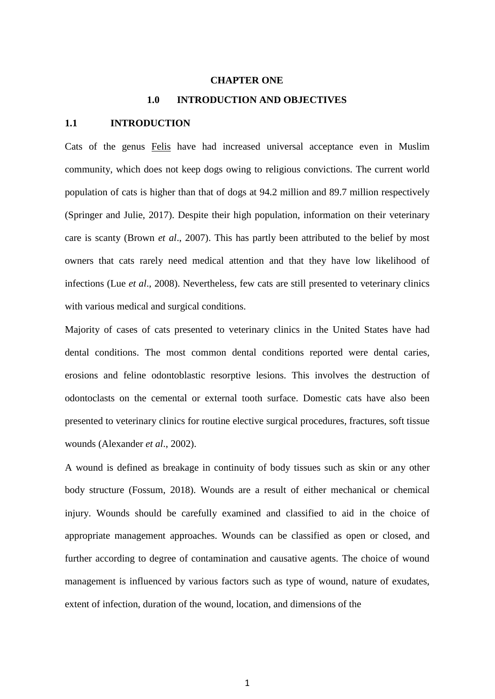#### **CHAPTER ONE**

#### **1.0 INTRODUCTION AND OBJECTIVES**

#### <span id="page-13-2"></span><span id="page-13-1"></span><span id="page-13-0"></span>**1.1 INTRODUCTION**

Cats of the genus Felis have had increased universal acceptance even in Muslim community, which does not keep dogs owing to religious convictions. The current world population of cats is higher than that of dogs at 94.2 million and 89.7 million respectively (Springer and Julie, 2017). Despite their high population, information on their veterinary care is scanty (Brown *et al*., 2007). This has partly been attributed to the belief by most owners that cats rarely need medical attention and that they have low likelihood of infections (Lue *et al*., 2008). Nevertheless, few cats are still presented to veterinary clinics with various medical and surgical conditions.

Majority of cases of cats presented to veterinary clinics in the United States have had dental conditions. The most common dental conditions reported were dental caries, erosions and feline odontoblastic resorptive lesions. This involves the destruction of odontoclasts on the cemental or external tooth surface. Domestic cats have also been presented to veterinary clinics for routine elective surgical procedures, fractures, soft tissue wounds (Alexander *et al*., 2002).

A wound is defined as breakage in continuity of body tissues such as skin or any other body structure (Fossum, 2018). Wounds are a result of either mechanical or chemical injury. Wounds should be carefully examined and classified to aid in the choice of appropriate management approaches. Wounds can be classified as open or closed, and further according to degree of contamination and causative agents. The choice of wound management is influenced by various factors such as type of wound, nature of exudates, extent of infection, duration of the wound, location, and dimensions of the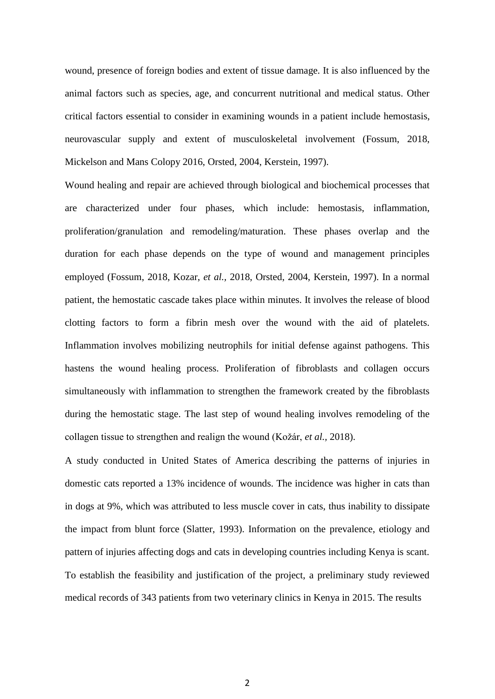wound, presence of foreign bodies and extent of tissue damage. It is also influenced by the animal factors such as species, age, and concurrent nutritional and medical status. Other critical factors essential to consider in examining wounds in a patient include hemostasis, neurovascular supply and extent of musculoskeletal involvement (Fossum, 2018, Mickelson and Mans Colopy 2016, Orsted, 2004, Kerstein, 1997).

Wound healing and repair are achieved through biological and biochemical processes that are characterized under four phases, which include: hemostasis, inflammation, proliferation/granulation and remodeling/maturation. These phases overlap and the duration for each phase depends on the type of wound and management principles employed (Fossum, 2018, Kozar, *et al.,* 2018, Orsted, 2004, Kerstein, 1997). In a normal patient, the hemostatic cascade takes place within minutes. It involves the release of blood clotting factors to form a fibrin mesh over the wound with the aid of platelets. Inflammation involves mobilizing neutrophils for initial defense against pathogens. This hastens the wound healing process. Proliferation of fibroblasts and collagen occurs simultaneously with inflammation to strengthen the framework created by the fibroblasts during the hemostatic stage. The last step of wound healing involves remodeling of the collagen tissue to strengthen and realign the wound (Kožár, *et al.,* 2018).

A study conducted in United States of America describing the patterns of injuries in domestic cats reported a 13% incidence of wounds. The incidence was higher in cats than in dogs at 9%, which was attributed to less muscle cover in cats, thus inability to dissipate the impact from blunt force (Slatter, 1993). Information on the prevalence, etiology and pattern of injuries affecting dogs and cats in developing countries including Kenya is scant. To establish the feasibility and justification of the project, a preliminary study reviewed medical records of 343 patients from two veterinary clinics in Kenya in 2015. The results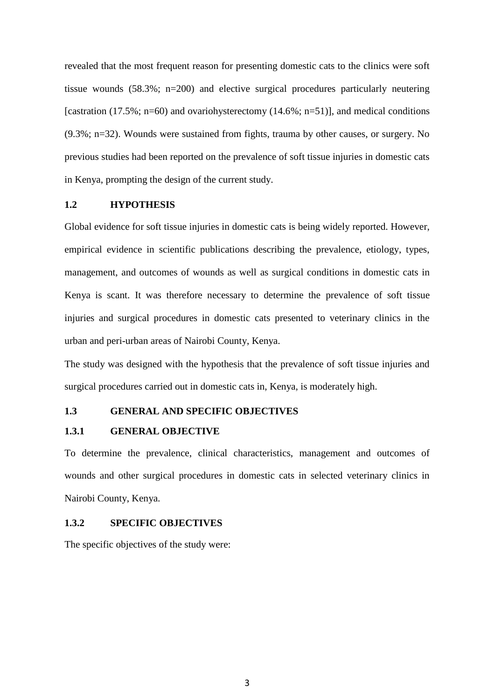revealed that the most frequent reason for presenting domestic cats to the clinics were soft tissue wounds (58.3%; n=200) and elective surgical procedures particularly neutering [castration (17.5%; n=60) and ovariohysterectomy (14.6%; n=51)], and medical conditions (9.3%; n=32). Wounds were sustained from fights, trauma by other causes, or surgery. No previous studies had been reported on the prevalence of soft tissue injuries in domestic cats in Kenya, prompting the design of the current study.

#### <span id="page-15-0"></span>**1.2 HYPOTHESIS**

Global evidence for soft tissue injuries in domestic cats is being widely reported. However, empirical evidence in scientific publications describing the prevalence, etiology, types, management, and outcomes of wounds as well as surgical conditions in domestic cats in Kenya is scant. It was therefore necessary to determine the prevalence of soft tissue injuries and surgical procedures in domestic cats presented to veterinary clinics in the urban and peri-urban areas of Nairobi County, Kenya.

The study was designed with the hypothesis that the prevalence of soft tissue injuries and surgical procedures carried out in domestic cats in, Kenya, is moderately high.

#### <span id="page-15-1"></span>**1.3 GENERAL AND SPECIFIC OBJECTIVES**

#### <span id="page-15-2"></span>**1.3.1 GENERAL OBJECTIVE**

To determine the prevalence, clinical characteristics, management and outcomes of wounds and other surgical procedures in domestic cats in selected veterinary clinics in Nairobi County, Kenya.

#### <span id="page-15-3"></span>**1.3.2 SPECIFIC OBJECTIVES**

The specific objectives of the study were: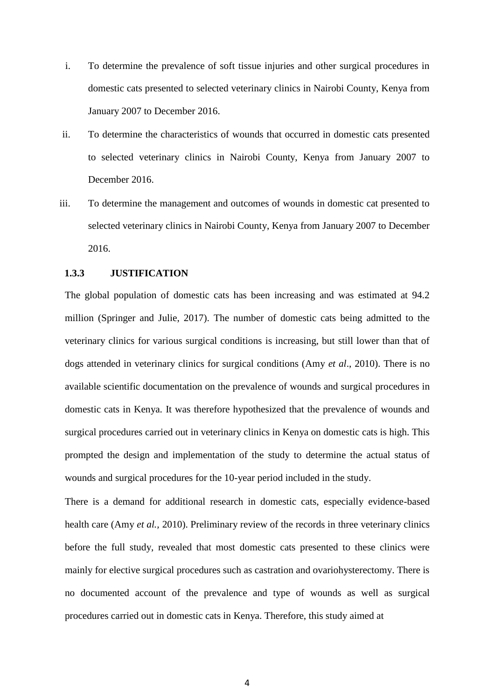- i. To determine the prevalence of soft tissue injuries and other surgical procedures in domestic cats presented to selected veterinary clinics in Nairobi County, Kenya from January 2007 to December 2016.
- ii. To determine the characteristics of wounds that occurred in domestic cats presented to selected veterinary clinics in Nairobi County, Kenya from January 2007 to December 2016.
- iii. To determine the management and outcomes of wounds in domestic cat presented to selected veterinary clinics in Nairobi County, Kenya from January 2007 to December 2016.

#### <span id="page-16-0"></span>**1.3.3 JUSTIFICATION**

The global population of domestic cats has been increasing and was estimated at 94.2 million (Springer and Julie, 2017). The number of domestic cats being admitted to the veterinary clinics for various surgical conditions is increasing, but still lower than that of dogs attended in veterinary clinics for surgical conditions (Amy *et al*., 2010). There is no available scientific documentation on the prevalence of wounds and surgical procedures in domestic cats in Kenya. It was therefore hypothesized that the prevalence of wounds and surgical procedures carried out in veterinary clinics in Kenya on domestic cats is high. This prompted the design and implementation of the study to determine the actual status of wounds and surgical procedures for the 10-year period included in the study.

There is a demand for additional research in domestic cats, especially evidence-based health care (Amy *et al.,* 2010). Preliminary review of the records in three veterinary clinics before the full study, revealed that most domestic cats presented to these clinics were mainly for elective surgical procedures such as castration and ovariohysterectomy. There is no documented account of the prevalence and type of wounds as well as surgical procedures carried out in domestic cats in Kenya. Therefore, this study aimed at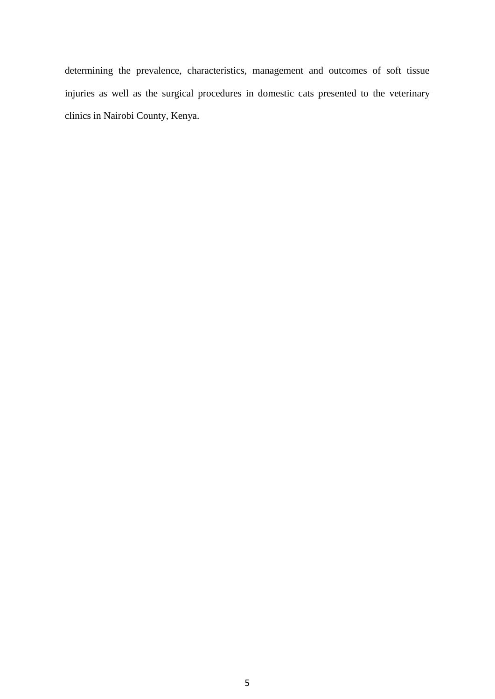determining the prevalence, characteristics, management and outcomes of soft tissue injuries as well as the surgical procedures in domestic cats presented to the veterinary clinics in Nairobi County, Kenya.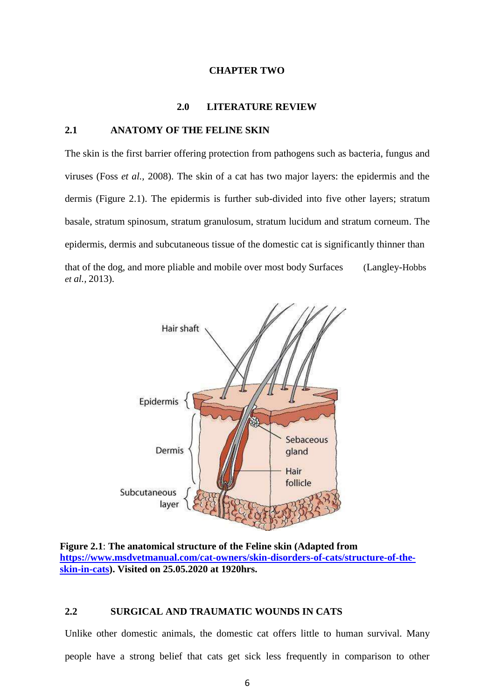#### **CHAPTER TWO**

#### **2.0 LITERATURE REVIEW**

#### <span id="page-18-2"></span><span id="page-18-1"></span><span id="page-18-0"></span>**2.1 ANATOMY OF THE FELINE SKIN**

The skin is the first barrier offering protection from pathogens such as bacteria, fungus and viruses (Foss *et al.,* 2008). The skin of a cat has two major layers: the epidermis and the dermis (Figure 2.1). The epidermis is further sub-divided into five other layers; stratum basale, stratum spinosum, stratum granulosum, stratum lucidum and stratum corneum. The epidermis, dermis and subcutaneous tissue of the domestic cat is significantly thinner than that of the dog, and more pliable and mobile over most body Surfaces (Langley-Hobbs *et al.,* 2013).



<span id="page-18-4"></span>**Figure 2.1**: **The anatomical structure of the Feline skin (Adapted from [https://www.msdvetmanual.com/cat-owners/skin-disorders-of-cats/structure-of-the](https://www.msdvetmanual.com/cat-owners/skin-disorders-of-cats/structure-of-the-skin-in-cats)[skin-in-cats\)](https://www.msdvetmanual.com/cat-owners/skin-disorders-of-cats/structure-of-the-skin-in-cats). Visited on 25.05.2020 at 1920hrs.**

#### <span id="page-18-3"></span>**2.2 SURGICAL AND TRAUMATIC WOUNDS IN CATS**

Unlike other domestic animals, the domestic cat offers little to human survival. Many people have a strong belief that cats get sick less frequently in comparison to other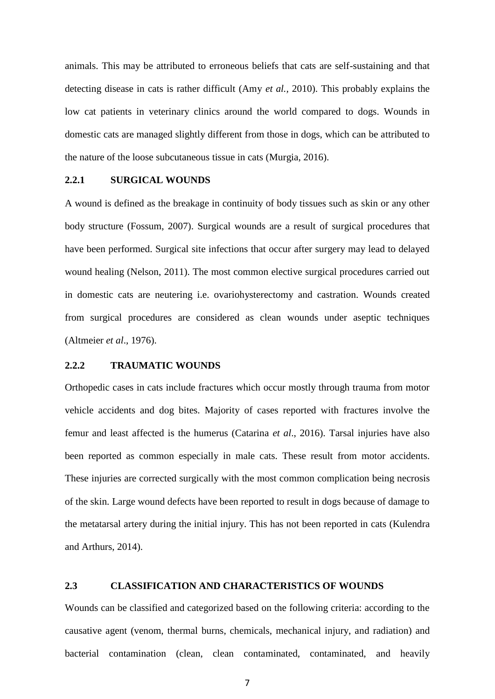animals. This may be attributed to erroneous beliefs that cats are self-sustaining and that detecting disease in cats is rather difficult (Amy *et al.,* 2010). This probably explains the low cat patients in veterinary clinics around the world compared to dogs. Wounds in domestic cats are managed slightly different from those in dogs, which can be attributed to the nature of the loose subcutaneous tissue in cats (Murgia, 2016).

#### <span id="page-19-0"></span>**2.2.1 SURGICAL WOUNDS**

A wound is defined as the breakage in continuity of body tissues such as skin or any other body structure (Fossum, 2007). Surgical wounds are a result of surgical procedures that have been performed. Surgical site infections that occur after surgery may lead to delayed wound healing (Nelson, 2011). The most common elective surgical procedures carried out in domestic cats are neutering i.e. ovariohysterectomy and castration. Wounds created from surgical procedures are considered as clean wounds under aseptic techniques (Altmeier *et al*., 1976).

#### <span id="page-19-1"></span>**2.2.2 TRAUMATIC WOUNDS**

Orthopedic cases in cats include fractures which occur mostly through trauma from motor vehicle accidents and dog bites. Majority of cases reported with fractures involve the femur and least affected is the humerus (Catarina *et al*., 2016). Tarsal injuries have also been reported as common especially in male cats. These result from motor accidents. These injuries are corrected surgically with the most common complication being necrosis of the skin. Large wound defects have been reported to result in dogs because of damage to the metatarsal artery during the initial injury. This has not been reported in cats (Kulendra and Arthurs, 2014).

#### <span id="page-19-2"></span>**2.3 CLASSIFICATION AND CHARACTERISTICS OF WOUNDS**

Wounds can be classified and categorized based on the following criteria: according to the causative agent (venom, thermal burns, chemicals, mechanical injury, and radiation) and bacterial contamination (clean, clean contaminated, contaminated, and heavily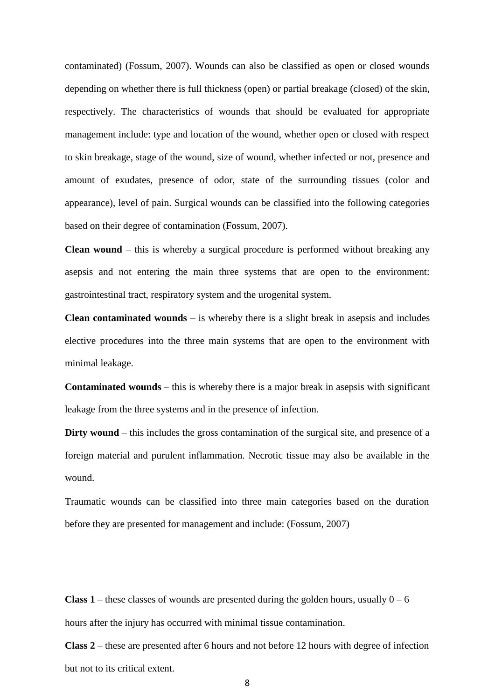contaminated) (Fossum, 2007). Wounds can also be classified as open or closed wounds depending on whether there is full thickness (open) or partial breakage (closed) of the skin, respectively. The characteristics of wounds that should be evaluated for appropriate management include: type and location of the wound, whether open or closed with respect to skin breakage, stage of the wound, size of wound, whether infected or not, presence and amount of exudates, presence of odor, state of the surrounding tissues (color and appearance), level of pain. Surgical wounds can be classified into the following categories based on their degree of contamination (Fossum, 2007).

**Clean wound** – this is whereby a surgical procedure is performed without breaking any asepsis and not entering the main three systems that are open to the environment: gastrointestinal tract, respiratory system and the urogenital system.

**Clean contaminated wounds** – is whereby there is a slight break in asepsis and includes elective procedures into the three main systems that are open to the environment with minimal leakage.

**Contaminated wounds** – this is whereby there is a major break in asepsis with significant leakage from the three systems and in the presence of infection.

**Dirty wound** – this includes the gross contamination of the surgical site, and presence of a foreign material and purulent inflammation. Necrotic tissue may also be available in the wound.

Traumatic wounds can be classified into three main categories based on the duration before they are presented for management and include: (Fossum, 2007)

**Class 1** – these classes of wounds are presented during the golden hours, usually  $0 - 6$ hours after the injury has occurred with minimal tissue contamination.

**Class 2** – these are presented after 6 hours and not before 12 hours with degree of infection but not to its critical extent.

8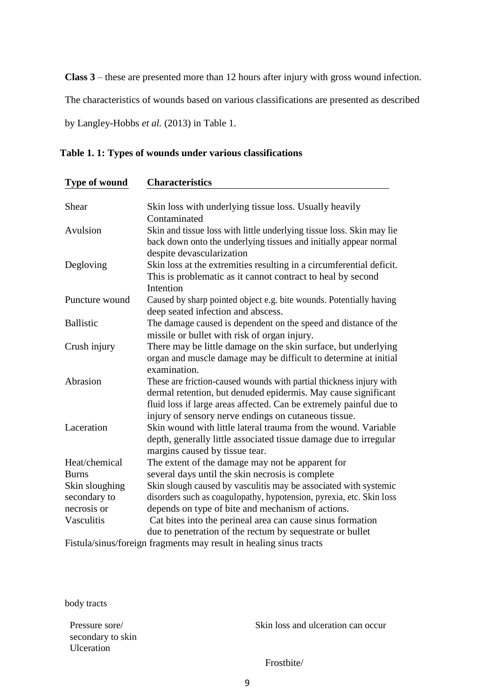**Class 3** – these are presented more than 12 hours after injury with gross wound infection.

The characteristics of wounds based on various classifications are presented as described

by Langley-Hobbs *et al.* (2013) in Table 1.

<span id="page-21-0"></span>**Table 1. 1: Types of wounds under various classifications**

| Type of wound    | <b>Characteristics</b>                                                                                    |  |  |
|------------------|-----------------------------------------------------------------------------------------------------------|--|--|
| Shear            | Skin loss with underlying tissue loss. Usually heavily                                                    |  |  |
|                  | Contaminated                                                                                              |  |  |
| Avulsion         | Skin and tissue loss with little underlying tissue loss. Skin may lie                                     |  |  |
|                  | back down onto the underlying tissues and initially appear normal                                         |  |  |
|                  | despite devascularization                                                                                 |  |  |
| Degloving        | Skin loss at the extremities resulting in a circumferential deficit.                                      |  |  |
|                  | This is problematic as it cannot contract to heal by second                                               |  |  |
|                  | Intention                                                                                                 |  |  |
| Puncture wound   | Caused by sharp pointed object e.g. bite wounds. Potentially having<br>deep seated infection and abscess. |  |  |
| <b>Ballistic</b> | The damage caused is dependent on the speed and distance of the                                           |  |  |
|                  | missile or bullet with risk of organ injury.                                                              |  |  |
| Crush injury     | There may be little damage on the skin surface, but underlying                                            |  |  |
|                  | organ and muscle damage may be difficult to determine at initial<br>examination.                          |  |  |
| Abrasion         | These are friction-caused wounds with partial thickness injury with                                       |  |  |
|                  | dermal retention, but denuded epidermis. May cause significant                                            |  |  |
|                  | fluid loss if large areas affected. Can be extremely painful due to                                       |  |  |
|                  | injury of sensory nerve endings on cutaneous tissue.                                                      |  |  |
| Laceration       | Skin wound with little lateral trauma from the wound. Variable                                            |  |  |
|                  | depth, generally little associated tissue damage due to irregular                                         |  |  |
|                  | margins caused by tissue tear.                                                                            |  |  |
| Heat/chemical    | The extent of the damage may not be apparent for                                                          |  |  |
| <b>Burns</b>     | several days until the skin necrosis is complete                                                          |  |  |
| Skin sloughing   | Skin slough caused by vasculitis may be associated with systemic                                          |  |  |
| secondary to     | disorders such as coagulopathy, hypotension, pyrexia, etc. Skin loss                                      |  |  |
| necrosis or      | depends on type of bite and mechanism of actions.                                                         |  |  |
| Vasculitis       | Cat bites into the perineal area can cause sinus formation                                                |  |  |
|                  | due to penetration of the rectum by sequestrate or bullet                                                 |  |  |
|                  | $E_{\text{total}}/s/\text{g}$ (consider for small may need to be aline since two sta-                     |  |  |

Fistula/sinus/foreign fragments may result in healing sinus tracts

body tracts

secondary to skin Ulceration

Pressure sore/ Skin loss and ulceration can occur

Frostbite/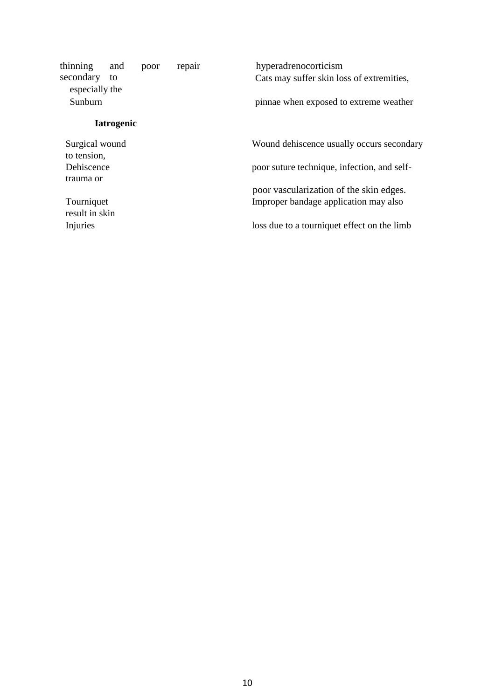| thinning                     | and               | poor | repair                                      | hyperadrenocorticism                        |
|------------------------------|-------------------|------|---------------------------------------------|---------------------------------------------|
| secondary<br>especially the  | to                |      |                                             | Cats may suffer skin loss of extremities,   |
| Sunburn                      |                   |      |                                             | pinnae when exposed to extreme weather      |
|                              | <b>Iatrogenic</b> |      |                                             |                                             |
| Surgical wound               |                   |      |                                             | Wound dehiscence usually occurs secondary   |
| to tension,                  |                   |      |                                             |                                             |
| Dehiscence                   |                   |      |                                             | poor suture technique, infection, and self- |
| trauma or                    |                   |      |                                             |                                             |
|                              |                   |      |                                             | poor vascularization of the skin edges.     |
| Tourniquet<br>result in skin |                   |      |                                             | Improper bandage application may also       |
| Injuries                     |                   |      | loss due to a tourniquet effect on the limb |                                             |
|                              |                   |      |                                             |                                             |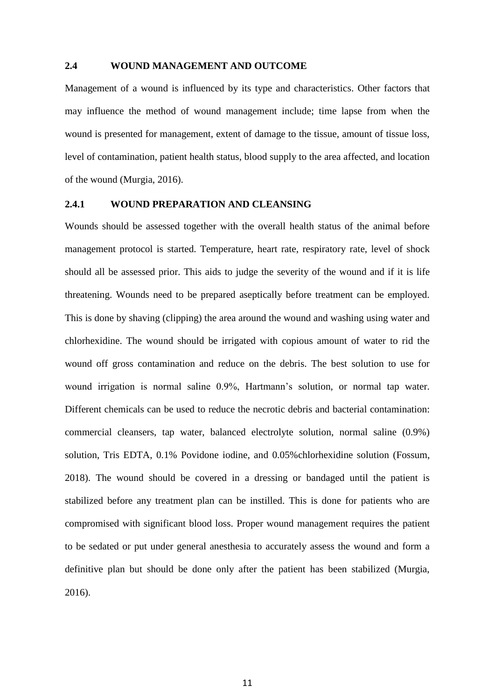#### <span id="page-23-0"></span>**2.4 WOUND MANAGEMENT AND OUTCOME**

Management of a wound is influenced by its type and characteristics. Other factors that may influence the method of wound management include; time lapse from when the wound is presented for management, extent of damage to the tissue, amount of tissue loss, level of contamination, patient health status, blood supply to the area affected, and location of the wound (Murgia, 2016).

#### <span id="page-23-1"></span>**2.4.1 WOUND PREPARATION AND CLEANSING**

Wounds should be assessed together with the overall health status of the animal before management protocol is started. Temperature, heart rate, respiratory rate, level of shock should all be assessed prior. This aids to judge the severity of the wound and if it is life threatening. Wounds need to be prepared aseptically before treatment can be employed. This is done by shaving (clipping) the area around the wound and washing using water and chlorhexidine. The wound should be irrigated with copious amount of water to rid the wound off gross contamination and reduce on the debris. The best solution to use for wound irrigation is normal saline 0.9%, Hartmann's solution, or normal tap water. Different chemicals can be used to reduce the necrotic debris and bacterial contamination: commercial cleansers, tap water, balanced electrolyte solution, normal saline (0.9%) solution, Tris EDTA, 0.1% Povidone iodine, and 0.05%chlorhexidine solution (Fossum, 2018). The wound should be covered in a dressing or bandaged until the patient is stabilized before any treatment plan can be instilled. This is done for patients who are compromised with significant blood loss. Proper wound management requires the patient to be sedated or put under general anesthesia to accurately assess the wound and form a definitive plan but should be done only after the patient has been stabilized (Murgia, 2016).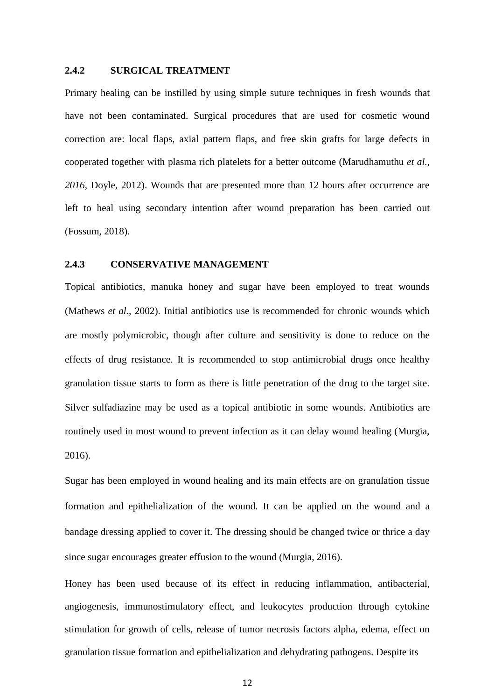#### <span id="page-24-0"></span>**2.4.2 SURGICAL TREATMENT**

Primary healing can be instilled by using simple suture techniques in fresh wounds that have not been contaminated. Surgical procedures that are used for cosmetic wound correction are: local flaps, axial pattern flaps, and free skin grafts for large defects in cooperated together with plasma rich platelets for a better outcome (Marudhamuthu *et al., 2016,* Doyle, 2012). Wounds that are presented more than 12 hours after occurrence are left to heal using secondary intention after wound preparation has been carried out (Fossum, 2018).

#### <span id="page-24-1"></span>**2.4.3 CONSERVATIVE MANAGEMENT**

Topical antibiotics, manuka honey and sugar have been employed to treat wounds (Mathews *et al.,* 2002). Initial antibiotics use is recommended for chronic wounds which are mostly polymicrobic, though after culture and sensitivity is done to reduce on the effects of drug resistance. It is recommended to stop antimicrobial drugs once healthy granulation tissue starts to form as there is little penetration of the drug to the target site. Silver sulfadiazine may be used as a topical antibiotic in some wounds. Antibiotics are routinely used in most wound to prevent infection as it can delay wound healing (Murgia, 2016).

Sugar has been employed in wound healing and its main effects are on granulation tissue formation and epithelialization of the wound. It can be applied on the wound and a bandage dressing applied to cover it. The dressing should be changed twice or thrice a day since sugar encourages greater effusion to the wound (Murgia, 2016).

Honey has been used because of its effect in reducing inflammation, antibacterial, angiogenesis, immunostimulatory effect, and leukocytes production through cytokine stimulation for growth of cells, release of tumor necrosis factors alpha, edema, effect on granulation tissue formation and epithelialization and dehydrating pathogens. Despite its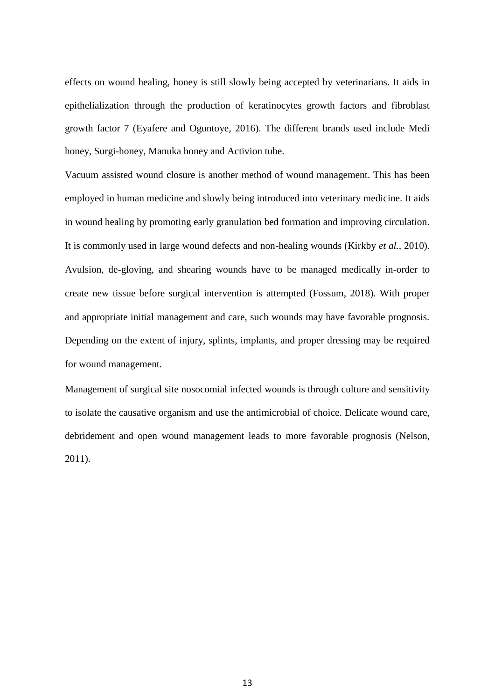<span id="page-25-0"></span>effects on wound healing, honey is still slowly being accepted by veterinarians. It aids in epithelialization through the production of keratinocytes growth factors and fibroblast growth factor 7 (Eyafere and Oguntoye, 2016). The different brands used include Medi honey, Surgi-honey, Manuka honey and Activion tube.

Vacuum assisted wound closure is another method of wound management. This has been employed in human medicine and slowly being introduced into veterinary medicine. It aids in wound healing by promoting early granulation bed formation and improving circulation. It is commonly used in large wound defects and non-healing wounds (Kirkby *et al.,* 2010). Avulsion, de-gloving, and shearing wounds have to be managed medically in-order to create new tissue before surgical intervention is attempted (Fossum, 2018). With proper and appropriate initial management and care, such wounds may have favorable prognosis. Depending on the extent of injury, splints, implants, and proper dressing may be required for wound management.

Management of surgical site nosocomial infected wounds is through culture and sensitivity to isolate the causative organism and use the antimicrobial of choice. Delicate wound care, debridement and open wound management leads to more favorable prognosis (Nelson, 2011).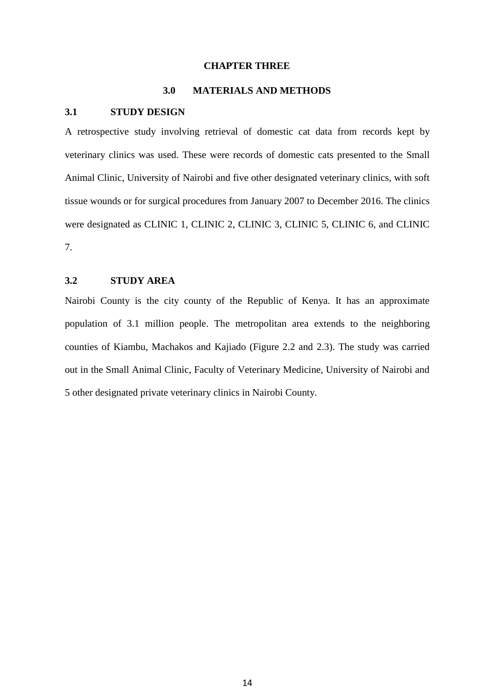#### **CHAPTER THREE**

#### **3.0 MATERIALS AND METHODS**

#### <span id="page-26-1"></span><span id="page-26-0"></span>**3.1 STUDY DESIGN**

A retrospective study involving retrieval of domestic cat data from records kept by veterinary clinics was used. These were records of domestic cats presented to the Small Animal Clinic, University of Nairobi and five other designated veterinary clinics, with soft tissue wounds or for surgical procedures from January 2007 to December 2016. The clinics were designated as CLINIC 1, CLINIC 2, CLINIC 3, CLINIC 5, CLINIC 6, and CLINIC 7.

#### <span id="page-26-2"></span>**3.2 STUDY AREA**

Nairobi County is the city county of the Republic of Kenya. It has an approximate population of 3.1 million people. The metropolitan area extends to the neighboring counties of Kiambu, Machakos and Kajiado (Figure 2.2 and 2.3). The study was carried out in the Small Animal Clinic, Faculty of Veterinary Medicine, University of Nairobi and 5 other designated private veterinary clinics in Nairobi County.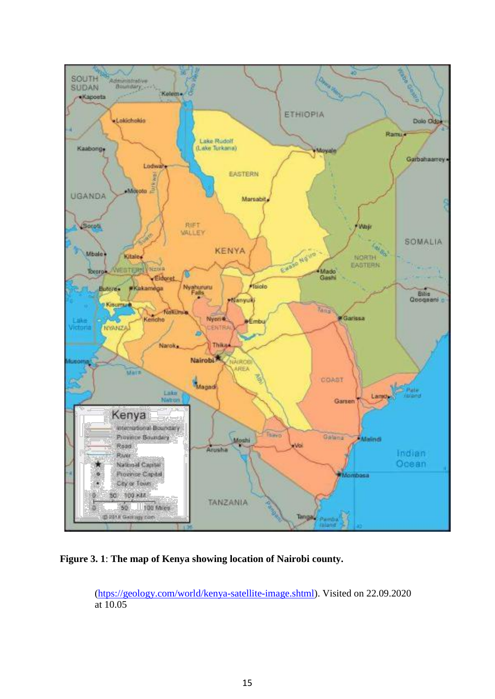

**Figure 3. 1**: **The map of Kenya showing location of Nairobi county.**

<span id="page-27-0"></span>[\(htps://geology.com/world/kenya-satellite-image.shtml\)](https://geology.com/world/kenya-satellite-image.shtml). Visited on 22.09.2020 at 10.05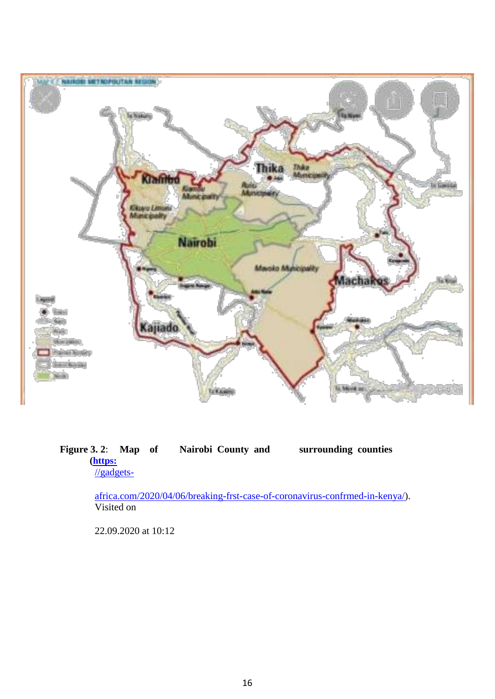<span id="page-28-0"></span>

#### <span id="page-28-1"></span>**Figure 3. 2**: **Map of Nairobi County and surrounding counties [\(https:](https://gadgets-africa.com/2020/04/06/breaking-first-case-of-coronavirus-confirmed-in-kenya/)** [//gadgets-](https://gadgets-africa.com/2020/04/06/breaking-first-case-of-coronavirus-confirmed-in-kenya/)

[africa.com/2020/04/06/breaking-frst-case-of-coronavirus-confrmed-in-kenya/\)](https://gadgets-africa.com/2020/04/06/breaking-first-case-of-coronavirus-confirmed-in-kenya/). Visited on

22.09.2020 at 10:12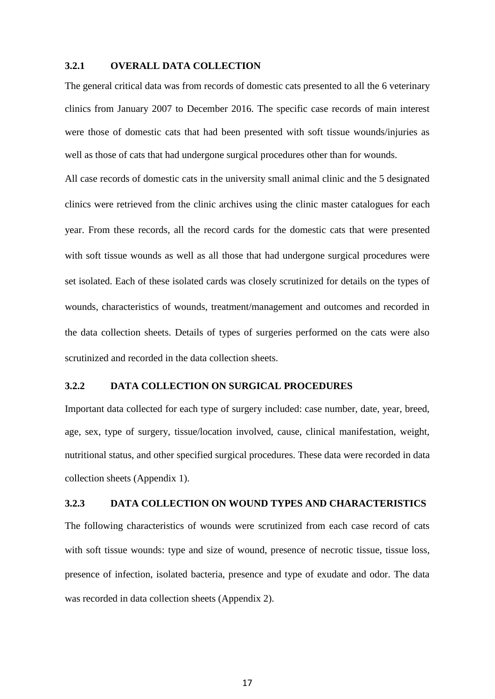#### **3.2.1 OVERALL DATA COLLECTION**

The general critical data was from records of domestic cats presented to all the 6 veterinary clinics from January 2007 to December 2016. The specific case records of main interest were those of domestic cats that had been presented with soft tissue wounds/injuries as well as those of cats that had undergone surgical procedures other than for wounds.

All case records of domestic cats in the university small animal clinic and the 5 designated clinics were retrieved from the clinic archives using the clinic master catalogues for each year. From these records, all the record cards for the domestic cats that were presented with soft tissue wounds as well as all those that had undergone surgical procedures were set isolated. Each of these isolated cards was closely scrutinized for details on the types of wounds, characteristics of wounds, treatment/management and outcomes and recorded in the data collection sheets. Details of types of surgeries performed on the cats were also scrutinized and recorded in the data collection sheets.

#### <span id="page-29-0"></span>**3.2.2 DATA COLLECTION ON SURGICAL PROCEDURES**

Important data collected for each type of surgery included: case number, date, year, breed, age, sex, type of surgery, tissue/location involved, cause, clinical manifestation, weight, nutritional status, and other specified surgical procedures. These data were recorded in data collection sheets (Appendix 1).

#### <span id="page-29-1"></span>**3.2.3 DATA COLLECTION ON WOUND TYPES AND CHARACTERISTICS**

The following characteristics of wounds were scrutinized from each case record of cats with soft tissue wounds: type and size of wound, presence of necrotic tissue, tissue loss, presence of infection, isolated bacteria, presence and type of exudate and odor. The data was recorded in data collection sheets (Appendix 2).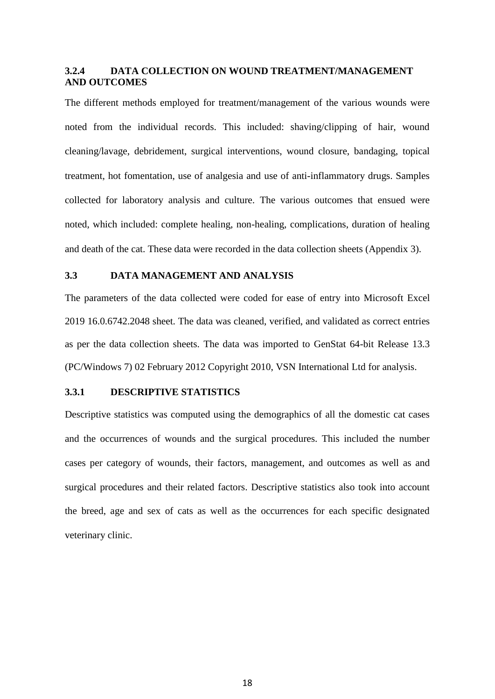#### <span id="page-30-3"></span><span id="page-30-0"></span>**3.2.4 DATA COLLECTION ON WOUND TREATMENT/MANAGEMENT AND OUTCOMES**

The different methods employed for treatment/management of the various wounds were noted from the individual records. This included: shaving/clipping of hair, wound cleaning/lavage, debridement, surgical interventions, wound closure, bandaging, topical treatment, hot fomentation, use of analgesia and use of anti-inflammatory drugs. Samples collected for laboratory analysis and culture. The various outcomes that ensued were noted, which included: complete healing, non-healing, complications, duration of healing and death of the cat. These data were recorded in the data collection sheets (Appendix 3).

#### <span id="page-30-1"></span>**3.3 DATA MANAGEMENT AND ANALYSIS**

The parameters of the data collected were coded for ease of entry into Microsoft Excel 2019 16.0.6742.2048 sheet. The data was cleaned, verified, and validated as correct entries as per the data collection sheets. The data was imported to GenStat 64-bit Release 13.3 (PC/Windows 7) 02 February 2012 Copyright 2010, VSN International Ltd for analysis.

#### <span id="page-30-2"></span>**3.3.1 DESCRIPTIVE STATISTICS**

Descriptive statistics was computed using the demographics of all the domestic cat cases and the occurrences of wounds and the surgical procedures. This included the number cases per category of wounds, their factors, management, and outcomes as well as and surgical procedures and their related factors. Descriptive statistics also took into account the breed, age and sex of cats as well as the occurrences for each specific designated veterinary clinic.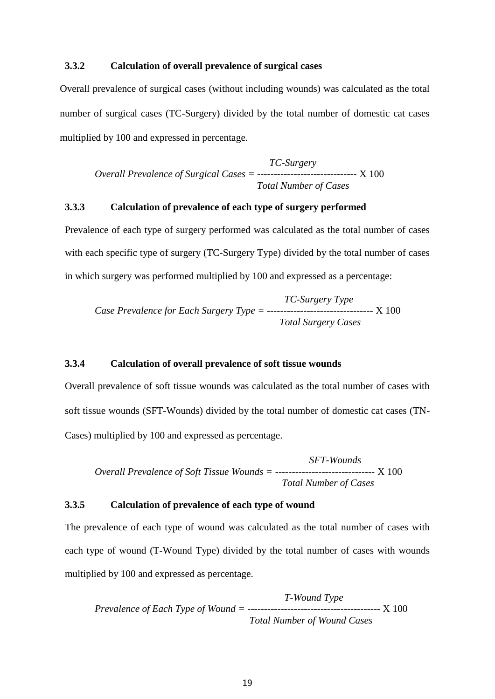#### <span id="page-31-3"></span>**3.3.2 Calculation of overall prevalence of surgical cases**

Overall prevalence of surgical cases (without including wounds) was calculated as the total number of surgical cases (TC-Surgery) divided by the total number of domestic cat cases multiplied by 100 and expressed in percentage.

*TC-Surgery Overall Prevalence of Surgical Cases = ------------------------------* X 100 *Total Number of Cases*

#### <span id="page-31-0"></span>**3.3.3 Calculation of prevalence of each type of surgery performed**

Prevalence of each type of surgery performed was calculated as the total number of cases with each specific type of surgery (TC-Surgery Type) divided by the total number of cases in which surgery was performed multiplied by 100 and expressed as a percentage:

*TC-Surgery Type Case Prevalence for Each Surgery Type = --------------------------------* X 100 *Total Surgery Cases*

#### <span id="page-31-1"></span>**3.3.4 Calculation of overall prevalence of soft tissue wounds**

Overall prevalence of soft tissue wounds was calculated as the total number of cases with soft tissue wounds (SFT-Wounds) divided by the total number of domestic cat cases (TN-Cases) multiplied by 100 and expressed as percentage.

*SFT-Wounds Overall Prevalence of Soft Tissue Wounds = ------------------------------* X 100 *Total Number of Cases*

#### <span id="page-31-2"></span>**3.3.5 Calculation of prevalence of each type of wound**

The prevalence of each type of wound was calculated as the total number of cases with each type of wound (T-Wound Type) divided by the total number of cases with wounds multiplied by 100 and expressed as percentage.

*T-Wound Type Prevalence of Each Type of Wound = ----------------------------------------* X 100 *Total Number of Wound Cases*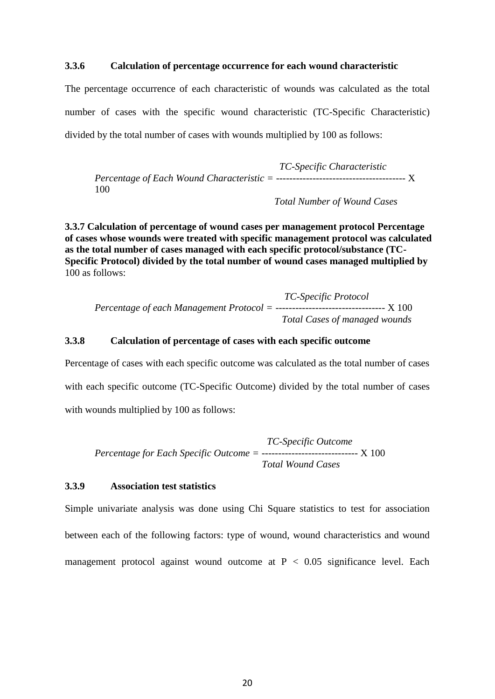#### **3.3.6 Calculation of percentage occurrence for each wound characteristic**

The percentage occurrence of each characteristic of wounds was calculated as the total number of cases with the specific wound characteristic (TC-Specific Characteristic) divided by the total number of cases with wounds multiplied by 100 as follows:

*TC-Specific Characteristic Percentage of Each Wound Characteristic = ---------------------------------------* X 100

*Total Number of Wound Cases*

<span id="page-32-0"></span>**3.3.7 Calculation of percentage of wound cases per management protocol Percentage of cases whose wounds were treated with specific management protocol was calculated as the total number of cases managed with each specific protocol/substance (TC-Specific Protocol) divided by the total number of wound cases managed multiplied by** 100 as follows:

*TC-Specific Protocol Percentage of each Management Protocol = ---------------------------------* X 100 *Total Cases of managed wounds*

#### <span id="page-32-1"></span>**3.3.8 Calculation of percentage of cases with each specific outcome**

Percentage of cases with each specific outcome was calculated as the total number of cases with each specific outcome (TC-Specific Outcome) divided by the total number of cases with wounds multiplied by 100 as follows:

*TC-Specific Outcome Percentage for Each Specific Outcome = -----------------------------* X 100 *Total Wound Cases*

#### <span id="page-32-2"></span>**3.3.9 Association test statistics**

Simple univariate analysis was done using Chi Square statistics to test for association between each of the following factors: type of wound, wound characteristics and wound management protocol against wound outcome at  $P < 0.05$  significance level. Each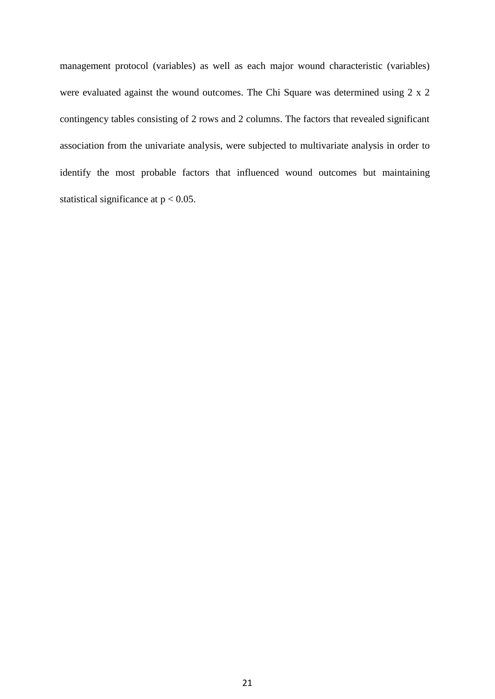management protocol (variables) as well as each major wound characteristic (variables) were evaluated against the wound outcomes. The Chi Square was determined using 2 x 2 contingency tables consisting of 2 rows and 2 columns. The factors that revealed significant association from the univariate analysis, were subjected to multivariate analysis in order to identify the most probable factors that influenced wound outcomes but maintaining statistical significance at  $p < 0.05$ .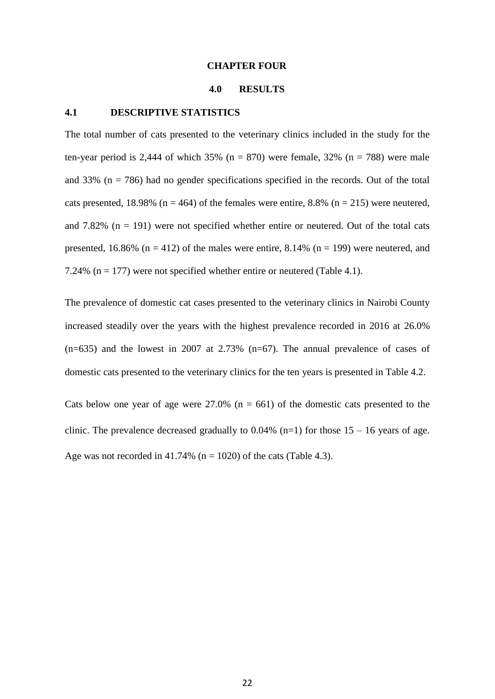#### **CHAPTER FOUR**

#### **4.0 RESULTS**

#### <span id="page-34-2"></span><span id="page-34-1"></span><span id="page-34-0"></span>**4.1 DESCRIPTIVE STATISTICS**

The total number of cats presented to the veterinary clinics included in the study for the ten-year period is 2,444 of which 35% ( $n = 870$ ) were female, 32% ( $n = 788$ ) were male and 33% ( $n = 786$ ) had no gender specifications specified in the records. Out of the total cats presented, 18.98% ( $n = 464$ ) of the females were entire, 8.8% ( $n = 215$ ) were neutered, and  $7.82\%$  (n = 191) were not specified whether entire or neutered. Out of the total cats presented, 16.86% ( $n = 412$ ) of the males were entire, 8.14% ( $n = 199$ ) were neutered, and 7.24% ( $n = 177$ ) were not specified whether entire or neutered (Table 4.1).

The prevalence of domestic cat cases presented to the veterinary clinics in Nairobi County increased steadily over the years with the highest prevalence recorded in 2016 at 26.0%  $(n=635)$  and the lowest in 2007 at 2.73%  $(n=67)$ . The annual prevalence of cases of domestic cats presented to the veterinary clinics for the ten years is presented in Table 4.2.

Cats below one year of age were  $27.0\%$  (n = 661) of the domestic cats presented to the clinic. The prevalence decreased gradually to  $0.04\%$  (n=1) for those 15 – 16 years of age. Age was not recorded in 41.74% ( $n = 1020$ ) of the cats (Table 4.3).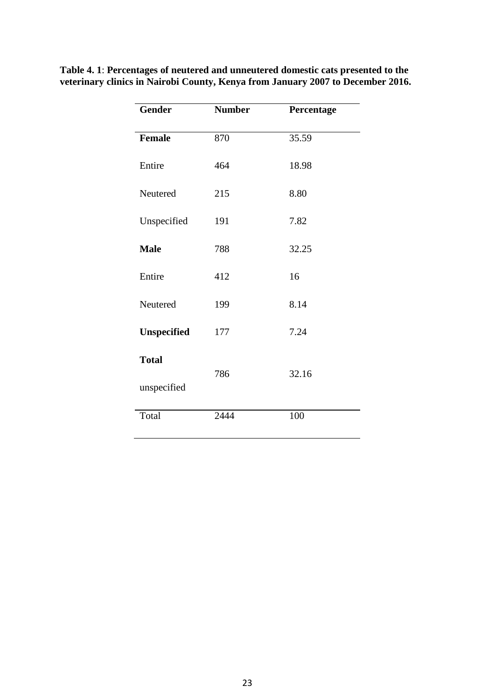| <b>Gender</b>      | <b>Number</b> | Percentage |
|--------------------|---------------|------------|
| <b>Female</b>      | 870           | 35.59      |
| Entire             | 464           | 18.98      |
| Neutered           | 215           | 8.80       |
| Unspecified        | 191           | 7.82       |
| <b>Male</b>        | 788           | 32.25      |
| Entire             | 412           | 16         |
| Neutered           | 199           | 8.14       |
| <b>Unspecified</b> | 177           | 7.24       |
| <b>Total</b>       | 786           | 32.16      |
| unspecified        |               |            |
| Total              | 2444          | 100        |

<span id="page-35-0"></span>**Table 4. 1**: **Percentages of neutered and unneutered domestic cats presented to the veterinary clinics in Nairobi County, Kenya from January 2007 to December 2016.**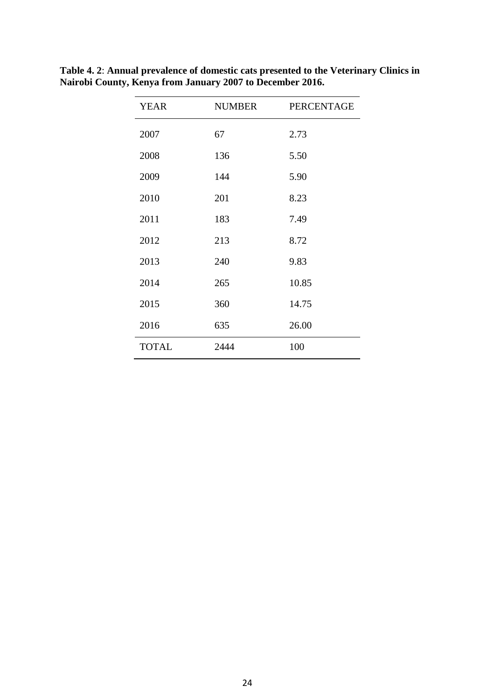| <b>YEAR</b>  | NUMBER | <b>PERCENTAGE</b> |
|--------------|--------|-------------------|
| 2007         | 67     | 2.73              |
| 2008         | 136    | 5.50              |
| 2009         | 144    | 5.90              |
| 2010         | 201    | 8.23              |
| 2011         | 183    | 7.49              |
| 2012         | 213    | 8.72              |
| 2013         | 240    | 9.83              |
| 2014         | 265    | 10.85             |
| 2015         | 360    | 14.75             |
| 2016         | 635    | 26.00             |
| <b>TOTAL</b> | 2444   | 100               |

**Table 4. 2**: **Annual prevalence of domestic cats presented to the Veterinary Clinics in Nairobi County, Kenya from January 2007 to December 2016.**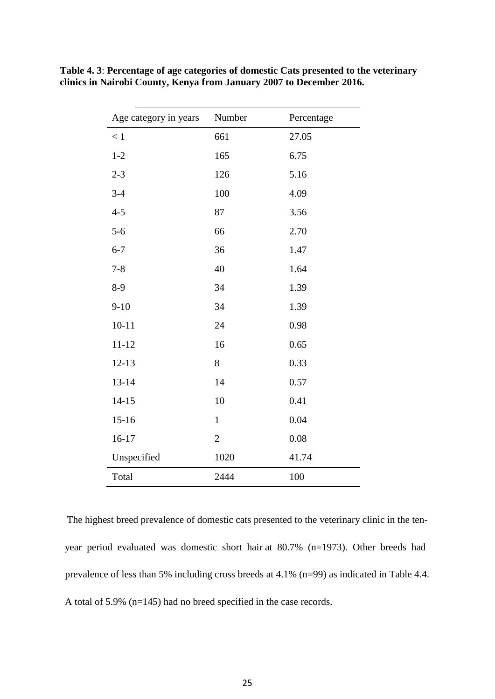| Age category in years | Number         | Percentage |
|-----------------------|----------------|------------|
| < 1                   | 661            | 27.05      |
| $1 - 2$               | 165            | 6.75       |
| $2 - 3$               | 126            | 5.16       |
| $3 - 4$               | 100            | 4.09       |
| $4 - 5$               | 87             | 3.56       |
| $5 - 6$               | 66             | 2.70       |
| $6 - 7$               | 36             | 1.47       |
| $7 - 8$               | 40             | 1.64       |
| $8-9$                 | 34             | 1.39       |
| $9 - 10$              | 34             | 1.39       |
| $10 - 11$             | 24             | 0.98       |
| $11 - 12$             | 16             | 0.65       |
| $12 - 13$             | 8              | 0.33       |
| $13 - 14$             | 14             | 0.57       |
| $14 - 15$             | 10             | 0.41       |
| $15 - 16$             | $\mathbf{1}$   | 0.04       |
| $16 - 17$             | $\overline{2}$ | 0.08       |
| Unspecified           | 1020           | 41.74      |
| Total                 | 2444           | 100        |

**Table 4. 3**: **Percentage of age categories of domestic Cats presented to the veterinary clinics in Nairobi County, Kenya from January 2007 to December 2016.**

The highest breed prevalence of domestic cats presented to the veterinary clinic in the tenyear period evaluated was domestic short hair at 80.7% (n=1973). Other breeds had prevalence of less than 5% including cross breeds at 4.1% (n=99) as indicated in Table 4.4. A total of 5.9% (n=145) had no breed specified in the case records.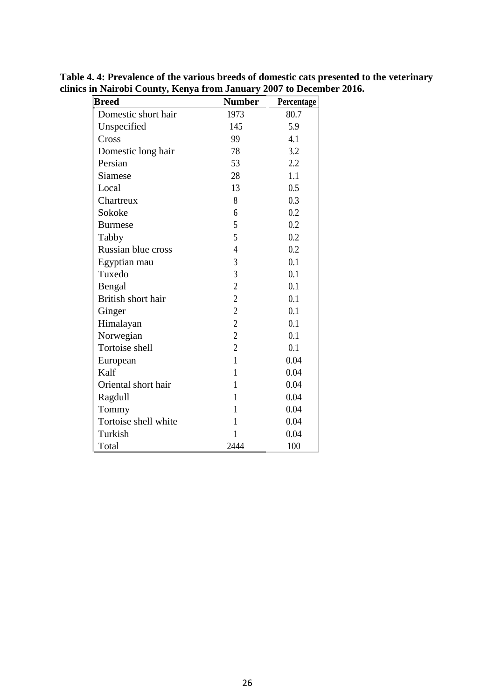| <b>Breed</b>         | <b>Number</b>  | Percentage |
|----------------------|----------------|------------|
| Domestic short hair  | 1973           | 80.7       |
| Unspecified          | 145            | 5.9        |
| Cross                | 99             | 4.1        |
| Domestic long hair   | 78             | 3.2        |
| Persian              | 53             | 2.2        |
| Siamese              | 28             | 1.1        |
| Local                | 13             | 0.5        |
| Chartreux            | 8              | 0.3        |
| Sokoke               | 6              | 0.2        |
| <b>Burmese</b>       | 5              | 0.2        |
| Tabby                | 5              | 0.2        |
| Russian blue cross   | $\overline{4}$ | 0.2        |
| Egyptian mau         | $\mathfrak{Z}$ | 0.1        |
| Tuxedo               | $\overline{3}$ | 0.1        |
| Bengal               | $\overline{c}$ | 0.1        |
| British short hair   | $\overline{c}$ | 0.1        |
| Ginger               | $\overline{c}$ | 0.1        |
| Himalayan            | $\overline{c}$ | 0.1        |
| Norwegian            | $\overline{c}$ | 0.1        |
| Tortoise shell       | $\overline{2}$ | 0.1        |
| European             | $\mathbf{1}$   | 0.04       |
| Kalf                 | $\mathbf{1}$   | 0.04       |
| Oriental short hair  | $\mathbf{1}$   | 0.04       |
| Ragdull              | 1              | 0.04       |
| Tommy                | 1              | 0.04       |
| Tortoise shell white | 1              | 0.04       |
| Turkish              | 1              | 0.04       |
| Total                | 2444           | 100        |

**Table 4. 4: Prevalence of the various breeds of domestic cats presented to the veterinary clinics in Nairobi County, Kenya from January 2007 to December 2016.**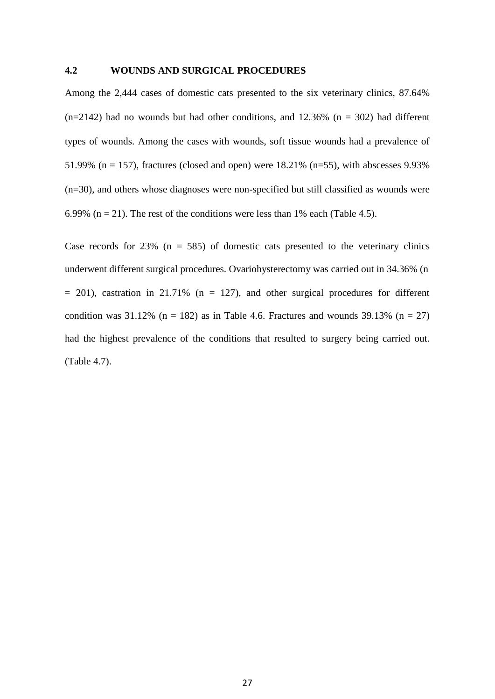## **4.2 WOUNDS AND SURGICAL PROCEDURES**

Among the 2,444 cases of domestic cats presented to the six veterinary clinics, 87.64%  $(n=2142)$  had no wounds but had other conditions, and 12.36% (n = 302) had different types of wounds. Among the cases with wounds, soft tissue wounds had a prevalence of 51.99% ( $n = 157$ ), fractures (closed and open) were 18.21% ( $n=55$ ), with abscesses 9.93% (n=30), and others whose diagnoses were non-specified but still classified as wounds were 6.99% ( $n = 21$ ). The rest of the conditions were less than 1% each (Table 4.5).

Case records for  $23\%$  (n = 585) of domestic cats presented to the veterinary clinics underwent different surgical procedures. Ovariohysterectomy was carried out in 34.36% (n  $= 201$ ), castration in 21.71% ( $n = 127$ ), and other surgical procedures for different condition was  $31.12\%$  (n = 182) as in Table 4.6. Fractures and wounds  $39.13\%$  (n = 27) had the highest prevalence of the conditions that resulted to surgery being carried out. (Table 4.7).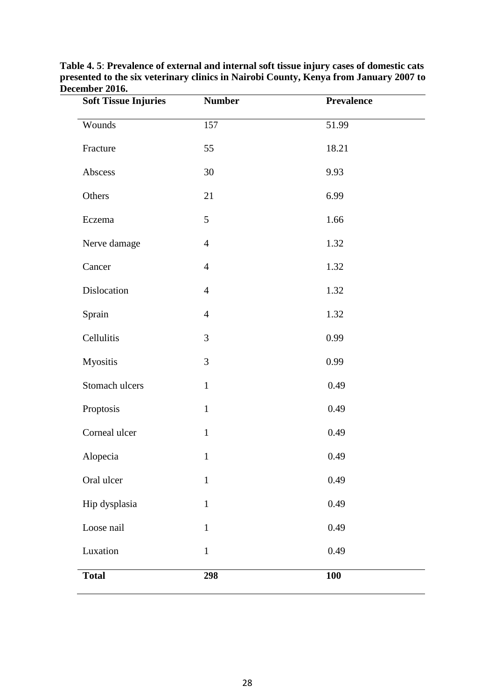| <b>Soft Tissue Injuries</b> | <b>Number</b>  | <b>Prevalence</b> |
|-----------------------------|----------------|-------------------|
| Wounds                      | 157            | 51.99             |
| Fracture                    | 55             | 18.21             |
| Abscess                     | 30             | 9.93              |
| Others                      | 21             | 6.99              |
| Eczema                      | 5              | 1.66              |
| Nerve damage                | $\overline{4}$ | 1.32              |
| Cancer                      | $\overline{4}$ | 1.32              |
| Dislocation                 | $\overline{4}$ | 1.32              |
| Sprain                      | $\overline{4}$ | 1.32              |
| Cellulitis                  | 3              | 0.99              |
| Myositis                    | 3              | 0.99              |
| Stomach ulcers              | $\mathbf{1}$   | 0.49              |
| Proptosis                   | $\mathbf{1}$   | 0.49              |
| Corneal ulcer               | $\mathbf{1}$   | 0.49              |
| Alopecia                    | $\mathbf{1}$   | 0.49              |
| Oral ulcer                  | $\mathbf{1}$   | 0.49              |
| Hip dysplasia               | $\mathbf{1}$   | 0.49              |
| Loose nail                  | $\mathbf{1}$   | 0.49              |
| Luxation                    | $\mathbf{1}$   | 0.49              |
| <b>Total</b>                | 298            | <b>100</b>        |

**Table 4. 5**: **Prevalence of external and internal soft tissue injury cases of domestic cats presented to the six veterinary clinics in Nairobi County, Kenya from January 2007 to December 2016.**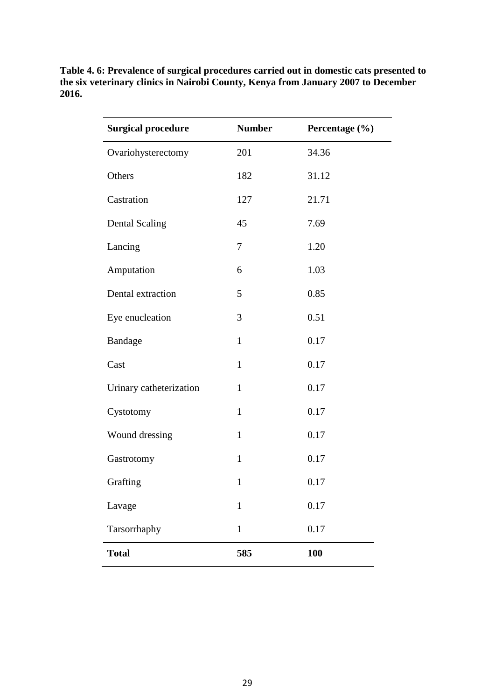**Table 4. 6: Prevalence of surgical procedures carried out in domestic cats presented to the six veterinary clinics in Nairobi County, Kenya from January 2007 to December 2016.**

| <b>Surgical procedure</b> | <b>Number</b> | Percentage (%) |
|---------------------------|---------------|----------------|
| Ovariohysterectomy        | 201           | 34.36          |
| Others                    | 182           | 31.12          |
| Castration                | 127           | 21.71          |
| <b>Dental Scaling</b>     | 45            | 7.69           |
| Lancing                   | 7             | 1.20           |
| Amputation                | 6             | 1.03           |
| Dental extraction         | 5             | 0.85           |
| Eye enucleation           | 3             | 0.51           |
| <b>Bandage</b>            | $\mathbf{1}$  | 0.17           |
| Cast                      | $\mathbf{1}$  | 0.17           |
| Urinary catheterization   | $\mathbf{1}$  | 0.17           |
| Cystotomy                 | $\mathbf{1}$  | 0.17           |
| Wound dressing            | $\mathbf{1}$  | 0.17           |
| Gastrotomy                | $\mathbf{1}$  | 0.17           |
| Grafting                  | $\mathbf{1}$  | 0.17           |
| Lavage                    | $\mathbf{1}$  | 0.17           |
| Tarsorrhaphy              | $\mathbf{1}$  | 0.17           |
| <b>Total</b>              | 585           | <b>100</b>     |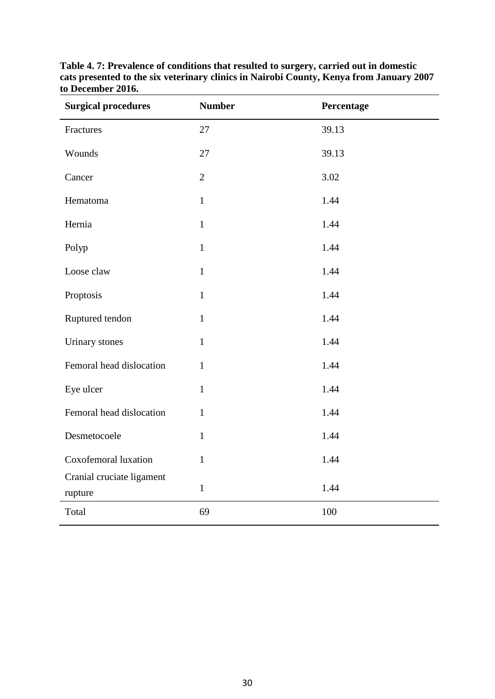| <b>Surgical procedures</b>           | <b>Number</b>  | Percentage |
|--------------------------------------|----------------|------------|
| Fractures                            | 27             | 39.13      |
| Wounds                               | 27             | 39.13      |
| Cancer                               | $\overline{2}$ | 3.02       |
| Hematoma                             | $\mathbf{1}$   | 1.44       |
| Hernia                               | $\mathbf{1}$   | 1.44       |
| Polyp                                | $\mathbf 1$    | 1.44       |
| Loose claw                           | $\mathbf{1}$   | 1.44       |
| Proptosis                            | $\mathbf{1}$   | 1.44       |
| Ruptured tendon                      | $\mathbf{1}$   | 1.44       |
| <b>Urinary</b> stones                | $\mathbf{1}$   | 1.44       |
| Femoral head dislocation             | $\mathbf{1}$   | 1.44       |
| Eye ulcer                            | $\mathbf{1}$   | 1.44       |
| Femoral head dislocation             | $\mathbf{1}$   | 1.44       |
| Desmetocoele                         | $\mathbf{1}$   | 1.44       |
| Coxofemoral luxation                 | $\mathbf{1}$   | 1.44       |
| Cranial cruciate ligament<br>rupture | $\mathbf 1$    | 1.44       |
| Total                                | 69             | 100        |

**Table 4. 7: Prevalence of conditions that resulted to surgery, carried out in domestic cats presented to the six veterinary clinics in Nairobi County, Kenya from January 2007 to December 2016.**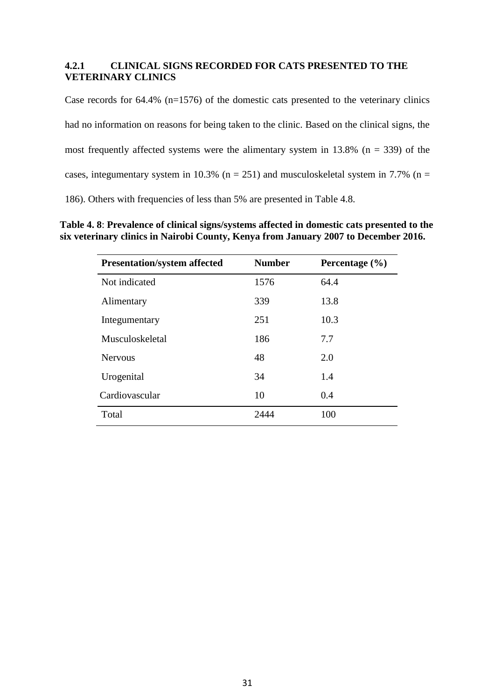# **4.2.1 CLINICAL SIGNS RECORDED FOR CATS PRESENTED TO THE VETERINARY CLINICS**

Case records for 64.4% (n=1576) of the domestic cats presented to the veterinary clinics had no information on reasons for being taken to the clinic. Based on the clinical signs, the most frequently affected systems were the alimentary system in  $13.8\%$  (n = 339) of the cases, integumentary system in 10.3% ( $n = 251$ ) and musculoskeletal system in 7.7% ( $n =$ 186). Others with frequencies of less than 5% are presented in Table 4.8.

**Table 4. 8**: **Prevalence of clinical signs/systems affected in domestic cats presented to the six veterinary clinics in Nairobi County, Kenya from January 2007 to December 2016.**

| <b>Presentation/system affected</b> | <b>Number</b> | Percentage $(\% )$ |
|-------------------------------------|---------------|--------------------|
| Not indicated                       | 1576          | 64.4               |
| Alimentary                          | 339           | 13.8               |
| Integumentary                       | 251           | 10.3               |
| Musculoskeletal                     | 186           | 7.7                |
| <b>Nervous</b>                      | 48            | 2.0                |
| Urogenital                          | 34            | 1.4                |
| Cardiovascular                      | 10            | 0.4                |
| Total                               | 2444          | 100                |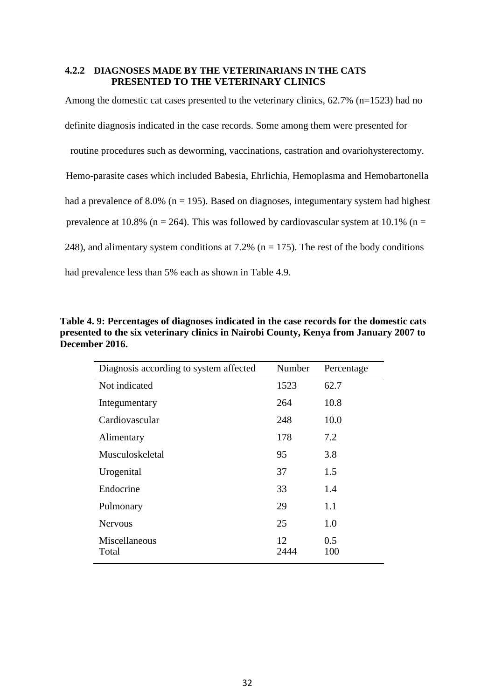# **4.2.2 DIAGNOSES MADE BY THE VETERINARIANS IN THE CATS PRESENTED TO THE VETERINARY CLINICS**

Among the domestic cat cases presented to the veterinary clinics, 62.7% (n=1523) had no definite diagnosis indicated in the case records. Some among them were presented for routine procedures such as deworming, vaccinations, castration and ovariohysterectomy. Hemo-parasite cases which included Babesia, Ehrlichia, Hemoplasma and Hemobartonella had a prevalence of 8.0% ( $n = 195$ ). Based on diagnoses, integumentary system had highest prevalence at 10.8% ( $n = 264$ ). This was followed by cardiovascular system at 10.1% ( $n =$ 248), and alimentary system conditions at 7.2% ( $n = 175$ ). The rest of the body conditions had prevalence less than 5% each as shown in Table 4.9.

**Table 4. 9: Percentages of diagnoses indicated in the case records for the domestic cats presented to the six veterinary clinics in Nairobi County, Kenya from January 2007 to December 2016.**

| Diagnosis according to system affected | Number     | Percentage |
|----------------------------------------|------------|------------|
| Not indicated                          | 1523       | 62.7       |
| Integumentary                          | 264        | 10.8       |
| Cardiovascular                         | 248        | 10.0       |
| Alimentary                             | 178        | 7.2        |
| Musculoskeletal                        | 95         | 3.8        |
| Urogenital                             | 37         | 1.5        |
| Endocrine                              | 33         | 1.4        |
| Pulmonary                              | 29         | 1.1        |
| <b>Nervous</b>                         | 25         | 1.0        |
| Miscellaneous<br>Total                 | 12<br>2444 | 0.5<br>100 |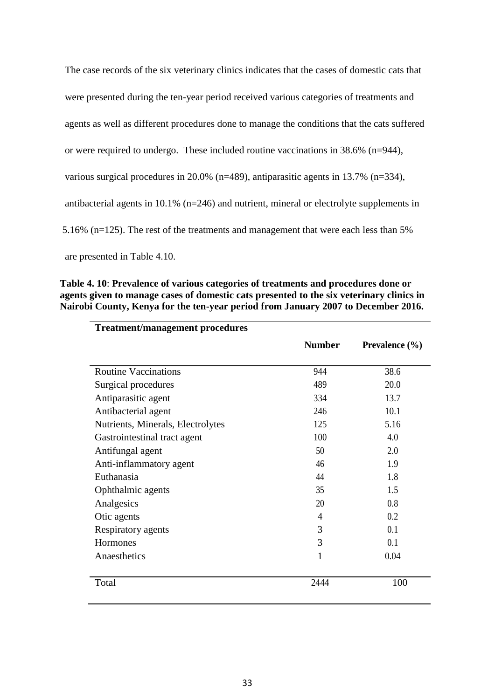| The case records of the six veterinary clinics indicates that the cases of domestic cats that |
|-----------------------------------------------------------------------------------------------|
| were presented during the ten-year period received various categories of treatments and       |
| agents as well as different procedures done to manage the conditions that the cats suffered   |
| or were required to undergo. These included routine vaccinations in $38.6\%$ (n=944),         |
| various surgical procedures in 20.0% ( $n=489$ ), antiparasitic agents in 13.7% ( $n=334$ ),  |
| antibacterial agents in 10.1% ( $n=246$ ) and nutrient, mineral or electrolyte supplements in |
| 5.16% (n=125). The rest of the treatments and management that were each less than 5%          |
|                                                                                               |

are presented in Table 4.10.

**Table 4. 10**: **Prevalence of various categories of treatments and procedures done or agents given to manage cases of domestic cats presented to the six veterinary clinics in Nairobi County, Kenya for the ten-year period from January 2007 to December 2016.**

| <b>Treatment/management procedures</b> |                |                           |
|----------------------------------------|----------------|---------------------------|
|                                        | <b>Number</b>  | <b>Prevalence</b> $(\% )$ |
| <b>Routine Vaccinations</b>            | 944            | 38.6                      |
| Surgical procedures                    | 489            | 20.0                      |
| Antiparasitic agent                    | 334            | 13.7                      |
| Antibacterial agent                    | 246            | 10.1                      |
| Nutrients, Minerals, Electrolytes      | 125            | 5.16                      |
| Gastrointestinal tract agent           | 100            | 4.0                       |
| Antifungal agent                       | 50             | 2.0                       |
| Anti-inflammatory agent                | 46             | 1.9                       |
| Euthanasia                             | 44             | 1.8                       |
| Ophthalmic agents                      | 35             | 1.5                       |
| Analgesics                             | 20             | 0.8                       |
| Otic agents                            | $\overline{4}$ | 0.2                       |
| Respiratory agents                     | 3              | 0.1                       |
| Hormones                               | 3              | 0.1                       |
| Anaesthetics                           | 1              | 0.04                      |
| Total                                  | 2444           | 100                       |
|                                        |                |                           |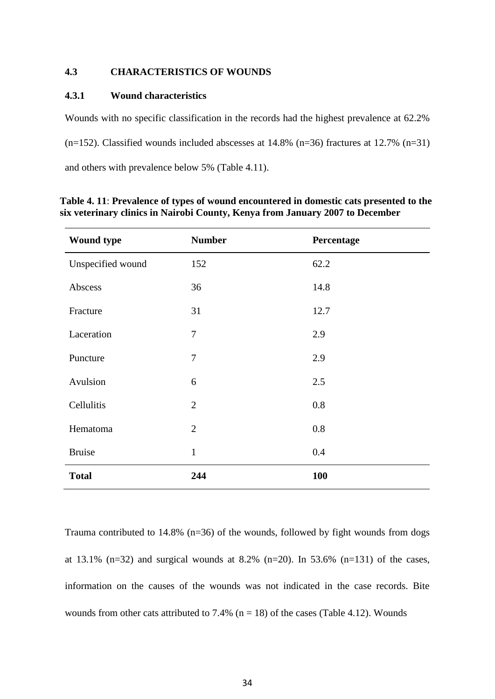# **4.3 CHARACTERISTICS OF WOUNDS**

## **4.3.1 Wound characteristics**

Wounds with no specific classification in the records had the highest prevalence at 62.2%  $(n=152)$ . Classified wounds included abscesses at 14.8%  $(n=36)$  fractures at 12.7%  $(n=31)$ and others with prevalence below 5% (Table 4.11).

| <b>Wound type</b> | <b>Number</b>  | Percentage |
|-------------------|----------------|------------|
| Unspecified wound | 152            | 62.2       |
| Abscess           | 36             | 14.8       |
| Fracture          | 31             | 12.7       |
| Laceration        | $\tau$         | 2.9        |
| Puncture          | 7              | 2.9        |
| Avulsion          | 6              | 2.5        |
| Cellulitis        | $\overline{2}$ | 0.8        |
| Hematoma          | $\overline{2}$ | 0.8        |
| <b>Bruise</b>     | $\mathbf{1}$   | 0.4        |
| <b>Total</b>      | 244            | 100        |

**Table 4. 11**: **Prevalence of types of wound encountered in domestic cats presented to the six veterinary clinics in Nairobi County, Kenya from January 2007 to December**

Trauma contributed to 14.8% (n=36) of the wounds, followed by fight wounds from dogs at 13.1% (n=32) and surgical wounds at 8.2% (n=20). In 53.6% (n=131) of the cases, information on the causes of the wounds was not indicated in the case records. Bite wounds from other cats attributed to 7.4% ( $n = 18$ ) of the cases (Table 4.12). Wounds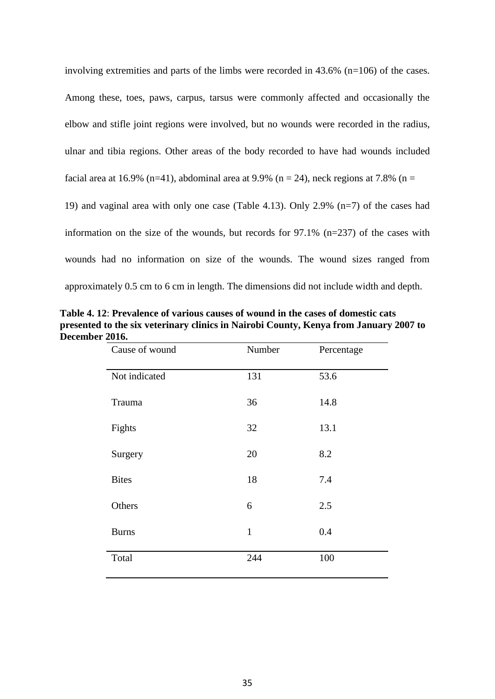involving extremities and parts of the limbs were recorded in 43.6% (n=106) of the cases. Among these, toes, paws, carpus, tarsus were commonly affected and occasionally the elbow and stifle joint regions were involved, but no wounds were recorded in the radius, ulnar and tibia regions. Other areas of the body recorded to have had wounds included facial area at 16.9% (n=41), abdominal area at 9.9% (n = 24), neck regions at 7.8% (n = 19) and vaginal area with only one case (Table 4.13). Only 2.9% (n=7) of the cases had information on the size of the wounds, but records for 97.1% (n=237) of the cases with wounds had no information on size of the wounds. The wound sizes ranged from approximately 0.5 cm to 6 cm in length. The dimensions did not include width and depth.

| Table 4.12: Prevalence of various causes of wound in the cases of domestic cats       |  |
|---------------------------------------------------------------------------------------|--|
| presented to the six veterinary clinics in Nairobi County, Kenya from January 2007 to |  |
| December 2016.                                                                        |  |

| Cause of wound | Number       | Percentage |
|----------------|--------------|------------|
| Not indicated  | 131          | 53.6       |
| Trauma         | 36           | 14.8       |
| Fights         | 32           | 13.1       |
| Surgery        | 20           | 8.2        |
| <b>Bites</b>   | 18           | 7.4        |
| Others         | 6            | 2.5        |
| <b>Burns</b>   | $\mathbf{1}$ | 0.4        |
| Total          | 244          | 100        |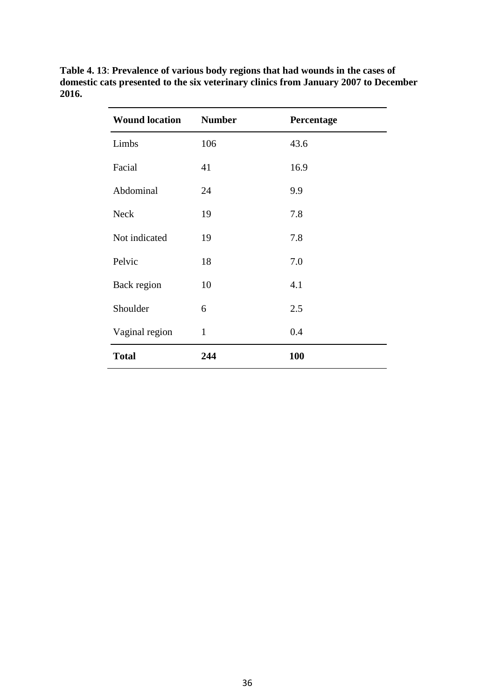| <b>Wound location</b> | <b>Number</b> | Percentage |
|-----------------------|---------------|------------|
| Limbs                 | 106           | 43.6       |
| Facial                | 41            | 16.9       |
| Abdominal             | 24            | 9.9        |
| <b>Neck</b>           | 19            | 7.8        |
| Not indicated         | 19            | 7.8        |
| Pelvic                | 18            | 7.0        |
| Back region           | 10            | 4.1        |
| Shoulder              | 6             | 2.5        |
| Vaginal region        | $\mathbf{1}$  | 0.4        |
| <b>Total</b>          | 244           | 100        |

**Table 4. 13**: **Prevalence of various body regions that had wounds in the cases of domestic cats presented to the six veterinary clinics from January 2007 to December 2016.**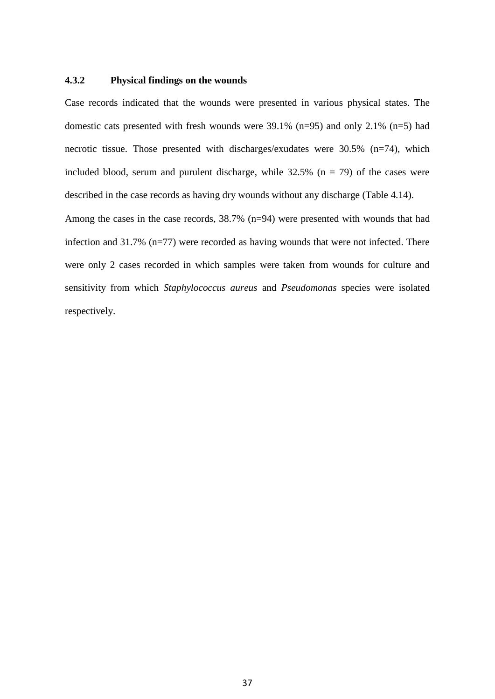### **4.3.2 Physical findings on the wounds**

Case records indicated that the wounds were presented in various physical states. The domestic cats presented with fresh wounds were 39.1% (n=95) and only 2.1% (n=5) had necrotic tissue. Those presented with discharges/exudates were 30.5% (n=74), which included blood, serum and purulent discharge, while  $32.5\%$  (n = 79) of the cases were described in the case records as having dry wounds without any discharge (Table 4.14).

Among the cases in the case records, 38.7% (n=94) were presented with wounds that had infection and 31.7% (n=77) were recorded as having wounds that were not infected. There were only 2 cases recorded in which samples were taken from wounds for culture and sensitivity from which *Staphylococcus aureus* and *Pseudomonas* species were isolated respectively.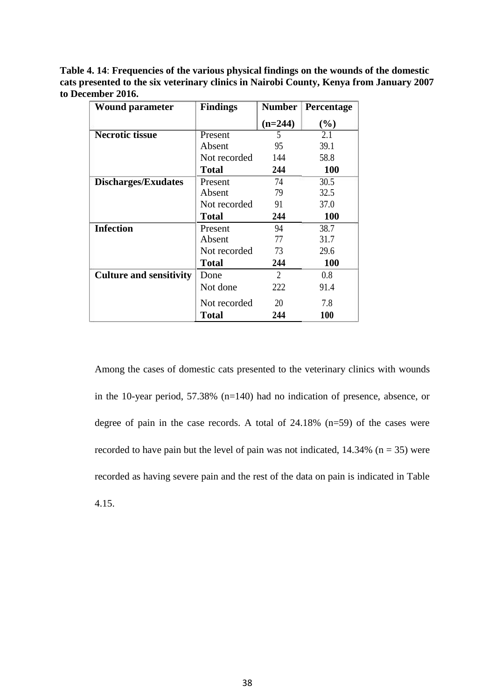**Table 4. 14**: **Frequencies of the various physical findings on the wounds of the domestic cats presented to the six veterinary clinics in Nairobi County, Kenya from January 2007 to December 2016.**

| <b>Wound parameter</b>         | <b>Findings</b> | <b>Number</b> | <b>Percentage</b> |  |
|--------------------------------|-----------------|---------------|-------------------|--|
|                                |                 | $(n=244)$     | (%)               |  |
| <b>Necrotic tissue</b>         | Present         | 5             | 2.1               |  |
|                                | Absent          | 95            | 39.1              |  |
|                                | Not recorded    | 144           | 58.8              |  |
|                                | <b>Total</b>    | 244           | <b>100</b>        |  |
| <b>Discharges/Exudates</b>     | Present         | 74            | 30.5              |  |
|                                | Absent          | 79            | 32.5              |  |
|                                | Not recorded    | 91            | 37.0              |  |
|                                | <b>Total</b>    | 244           | <b>100</b>        |  |
| <b>Infection</b>               | Present         | 94            | 38.7              |  |
|                                | Absent          | 77            | 31.7              |  |
|                                | Not recorded    | 73            | 29.6              |  |
|                                | <b>Total</b>    | 244           | <b>100</b>        |  |
| <b>Culture and sensitivity</b> | 2<br>Done       |               | 0.8               |  |
|                                | Not done        | 222           | 91.4              |  |
|                                | Not recorded    | 20            | 7.8               |  |
|                                | <b>Total</b>    | 244           | <b>100</b>        |  |

Among the cases of domestic cats presented to the veterinary clinics with wounds in the 10-year period, 57.38% (n=140) had no indication of presence, absence, or degree of pain in the case records. A total of 24.18% (n=59) of the cases were recorded to have pain but the level of pain was not indicated,  $14.34\%$  (n = 35) were recorded as having severe pain and the rest of the data on pain is indicated in Table 4.15.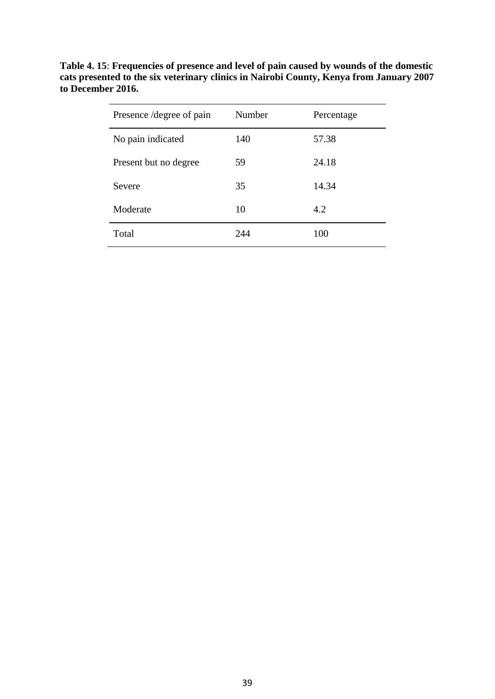| Presence / degree of pain | Number<br>Percentage |       |  |
|---------------------------|----------------------|-------|--|
| No pain indicated         | 140                  | 57.38 |  |
| Present but no degree     | 59                   | 24.18 |  |
| Severe                    | 35                   | 14.34 |  |
| Moderate                  | 10                   | 4.2   |  |
| Total                     | 244                  | 100   |  |

**Table 4. 15**: **Frequencies of presence and level of pain caused by wounds of the domestic cats presented to the six veterinary clinics in Nairobi County, Kenya from January 2007 to December 2016.**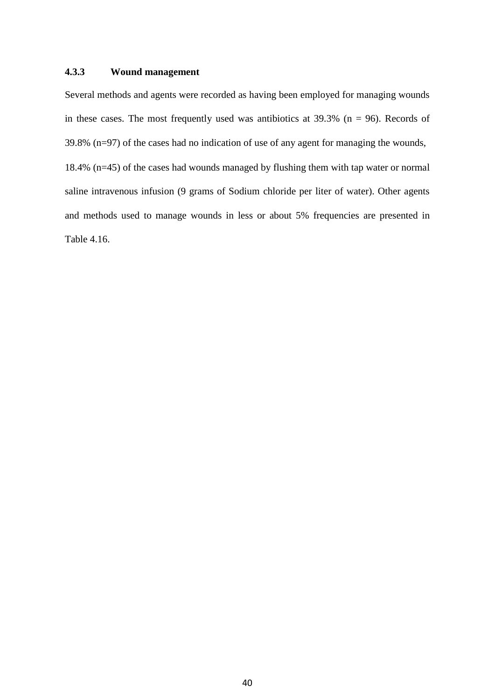# **4.3.3 Wound management**

Several methods and agents were recorded as having been employed for managing wounds in these cases. The most frequently used was antibiotics at  $39.3\%$  (n = 96). Records of 39.8% (n=97) of the cases had no indication of use of any agent for managing the wounds, 18.4% (n=45) of the cases had wounds managed by flushing them with tap water or normal saline intravenous infusion (9 grams of Sodium chloride per liter of water). Other agents and methods used to manage wounds in less or about 5% frequencies are presented in Table 4.16.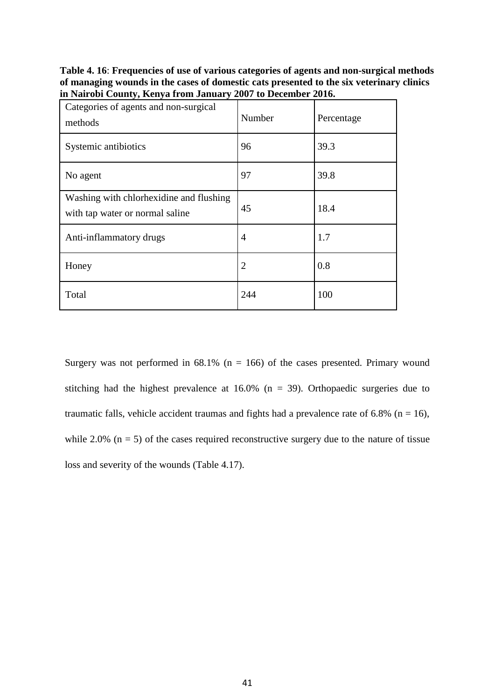**Table 4. 16**: **Frequencies of use of various categories of agents and non-surgical methods of managing wounds in the cases of domestic cats presented to the six veterinary clinics in Nairobi County, Kenya from January 2007 to December 2016.**

| Categories of agents and non-surgical<br>methods                           | Number | Percentage |
|----------------------------------------------------------------------------|--------|------------|
| Systemic antibiotics                                                       | 96     | 39.3       |
| No agent                                                                   | 97     | 39.8       |
| Washing with chlorhexidine and flushing<br>with tap water or normal saline | 45     | 18.4       |
| Anti-inflammatory drugs                                                    | 4      | 1.7        |
| Honey                                                                      | 2      | 0.8        |
| Total                                                                      | 244    | 100        |

Surgery was not performed in  $68.1\%$  (n = 166) of the cases presented. Primary wound stitching had the highest prevalence at  $16.0\%$  (n = 39). Orthopaedic surgeries due to traumatic falls, vehicle accident traumas and fights had a prevalence rate of 6.8% ( $n = 16$ ), while 2.0%  $(n = 5)$  of the cases required reconstructive surgery due to the nature of tissue loss and severity of the wounds (Table 4.17).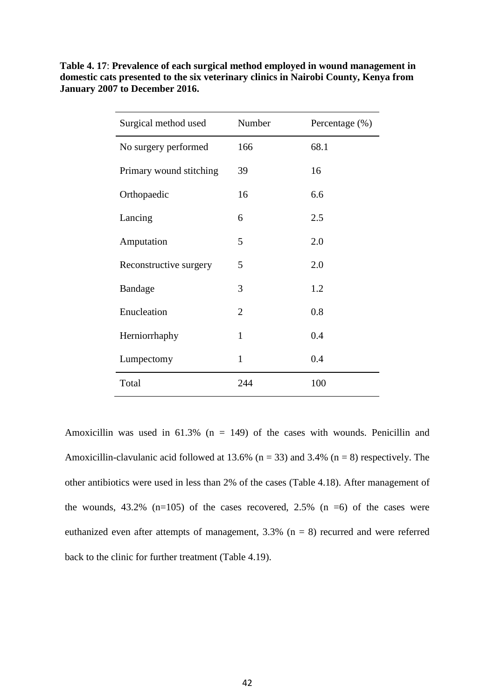| Table 4.17: Prevalence of each surgical method employed in wound management in      |
|-------------------------------------------------------------------------------------|
| domestic cats presented to the six veterinary clinics in Nairobi County, Kenya from |
| January 2007 to December 2016.                                                      |

| Surgical method used    | Number         | Percentage (%) |
|-------------------------|----------------|----------------|
| No surgery performed    | 166            | 68.1           |
| Primary wound stitching | 39             | 16             |
| Orthopaedic             | 16             | 6.6            |
| Lancing                 | 6              | 2.5            |
| Amputation              | 5              | 2.0            |
| Reconstructive surgery  | 5              | 2.0            |
| Bandage                 | 3              | 1.2            |
| Enucleation             | $\overline{2}$ | 0.8            |
| Herniorrhaphy           | 1              | 0.4            |
| Lumpectomy              | $\mathbf{1}$   | 0.4            |
| Total                   | 244            | 100            |

Amoxicillin was used in  $61.3\%$  (n = 149) of the cases with wounds. Penicillin and Amoxicillin-clavulanic acid followed at 13.6% ( $n = 33$ ) and 3.4% ( $n = 8$ ) respectively. The other antibiotics were used in less than 2% of the cases (Table 4.18). After management of the wounds,  $43.2\%$  (n=105) of the cases recovered,  $2.5\%$  (n =6) of the cases were euthanized even after attempts of management, 3.3% (n = 8) recurred and were referred back to the clinic for further treatment (Table 4.19).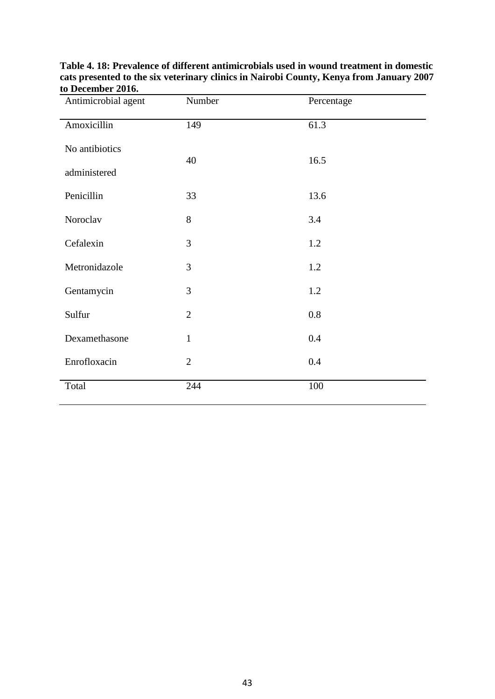| Antimicrobial agent | Number         | Percentage |
|---------------------|----------------|------------|
| Amoxicillin         | 149            | 61.3       |
| No antibiotics      |                |            |
| administered        | 40             | 16.5       |
| Penicillin          | 33             | 13.6       |
| Noroclav            | 8              | 3.4        |
| Cefalexin           | 3              | 1.2        |
| Metronidazole       | 3              | 1.2        |
| Gentamycin          | 3              | 1.2        |
| Sulfur              | $\overline{2}$ | 0.8        |
| Dexamethasone       | $\mathbf{1}$   | 0.4        |
| Enrofloxacin        | $\overline{2}$ | 0.4        |
| Total               | 244            | 100        |

**Table 4. 18: Prevalence of different antimicrobials used in wound treatment in domestic cats presented to the six veterinary clinics in Nairobi County, Kenya from January 2007 to December 2016.**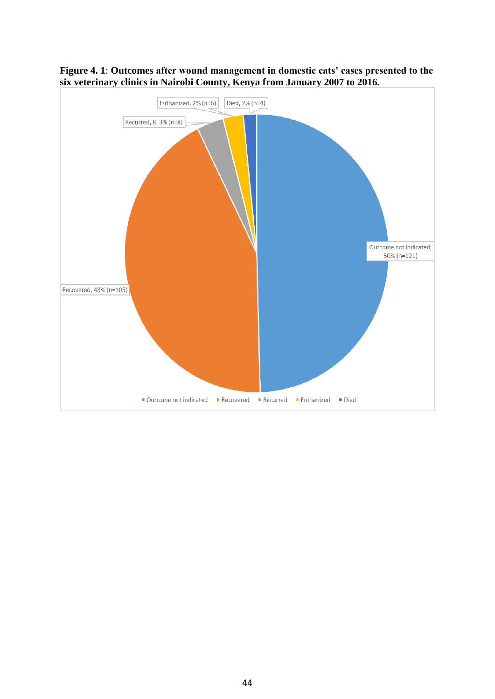

**Figure 4. 1**: **Outcomes after wound management in domestic cats' cases presented to the six veterinary clinics in Nairobi County, Kenya from January 2007 to 2016.**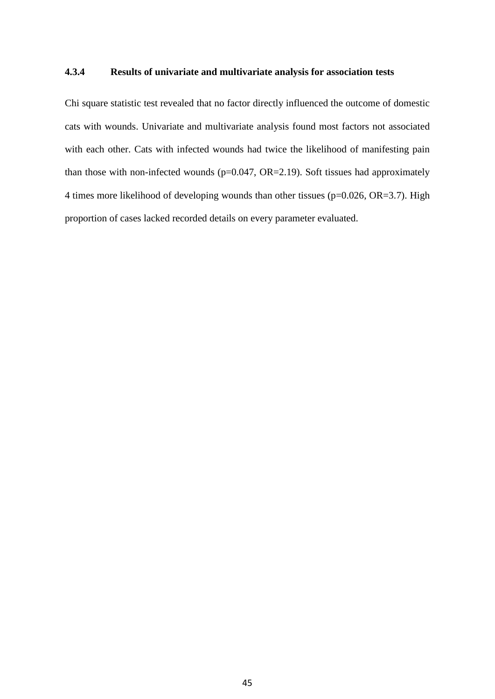### **4.3.4 Results of univariate and multivariate analysis for association tests**

Chi square statistic test revealed that no factor directly influenced the outcome of domestic cats with wounds. Univariate and multivariate analysis found most factors not associated with each other. Cats with infected wounds had twice the likelihood of manifesting pain than those with non-infected wounds ( $p=0.047$ ,  $OR=2.19$ ). Soft tissues had approximately 4 times more likelihood of developing wounds than other tissues (p=0.026, OR=3.7). High proportion of cases lacked recorded details on every parameter evaluated.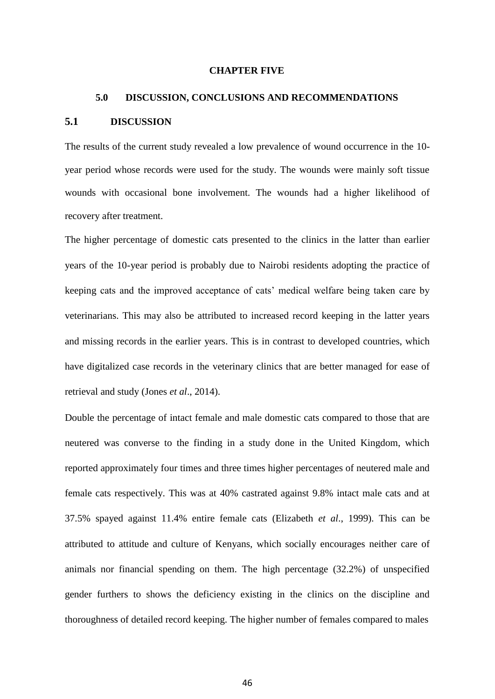### **CHAPTER FIVE**

# **5.0 DISCUSSION, CONCLUSIONS AND RECOMMENDATIONS 5.1 DISCUSSION**

The results of the current study revealed a low prevalence of wound occurrence in the 10 year period whose records were used for the study. The wounds were mainly soft tissue wounds with occasional bone involvement. The wounds had a higher likelihood of recovery after treatment.

The higher percentage of domestic cats presented to the clinics in the latter than earlier years of the 10-year period is probably due to Nairobi residents adopting the practice of keeping cats and the improved acceptance of cats' medical welfare being taken care by veterinarians. This may also be attributed to increased record keeping in the latter years and missing records in the earlier years. This is in contrast to developed countries, which have digitalized case records in the veterinary clinics that are better managed for ease of retrieval and study (Jones *et al*., 2014).

Double the percentage of intact female and male domestic cats compared to those that are neutered was converse to the finding in a study done in the United Kingdom, which reported approximately four times and three times higher percentages of neutered male and female cats respectively. This was at 40% castrated against 9.8% intact male cats and at 37.5% spayed against 11.4% entire female cats (Elizabeth *et al*., 1999). This can be attributed to attitude and culture of Kenyans, which socially encourages neither care of animals nor financial spending on them. The high percentage (32.2%) of unspecified gender furthers to shows the deficiency existing in the clinics on the discipline and thoroughness of detailed record keeping. The higher number of females compared to males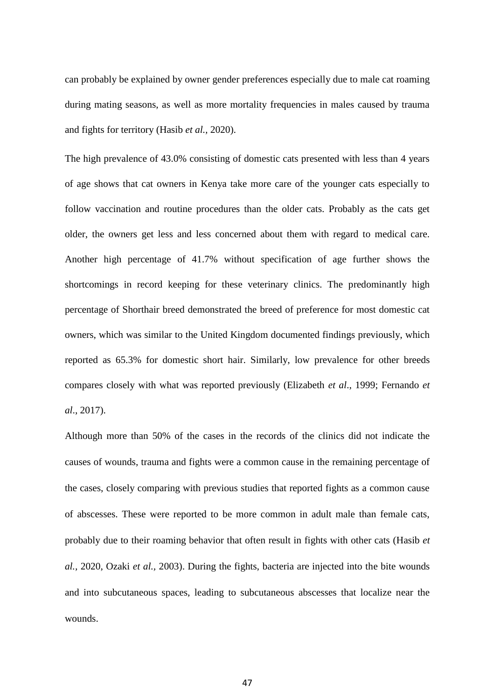can probably be explained by owner gender preferences especially due to male cat roaming during mating seasons, as well as more mortality frequencies in males caused by trauma and fights for territory (Hasib *et al.,* 2020).

The high prevalence of 43.0% consisting of domestic cats presented with less than 4 years of age shows that cat owners in Kenya take more care of the younger cats especially to follow vaccination and routine procedures than the older cats. Probably as the cats get older, the owners get less and less concerned about them with regard to medical care. Another high percentage of 41.7% without specification of age further shows the shortcomings in record keeping for these veterinary clinics. The predominantly high percentage of Shorthair breed demonstrated the breed of preference for most domestic cat owners, which was similar to the United Kingdom documented findings previously, which reported as 65.3% for domestic short hair. Similarly, low prevalence for other breeds compares closely with what was reported previously (Elizabeth *et al*., 1999; Fernando *et al*., 2017).

Although more than 50% of the cases in the records of the clinics did not indicate the causes of wounds, trauma and fights were a common cause in the remaining percentage of the cases, closely comparing with previous studies that reported fights as a common cause of abscesses. These were reported to be more common in adult male than female cats, probably due to their roaming behavior that often result in fights with other cats (Hasib *et al.,* 2020, Ozaki *et al.,* 2003). During the fights, bacteria are injected into the bite wounds and into subcutaneous spaces, leading to subcutaneous abscesses that localize near the wounds.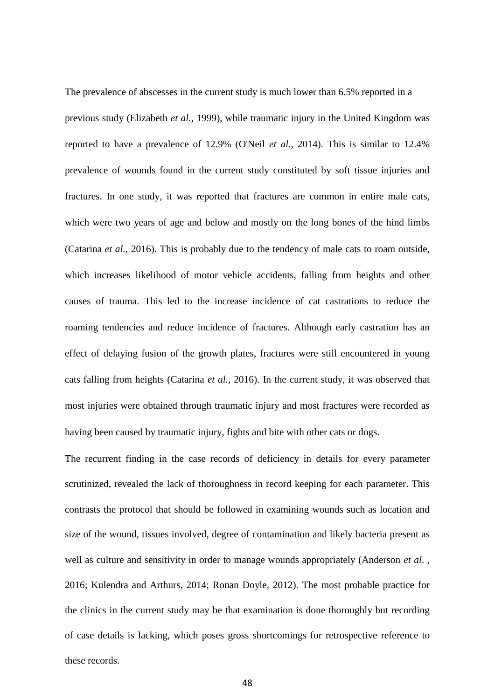The prevalence of abscesses in the current study is much lower than 6.5% reported in a previous study (Elizabeth *et al.,* 1999), while traumatic injury in the United Kingdom was reported to have a prevalence of 12.9% (O'Neil *et al.,* 2014). This is similar to 12.4% prevalence of wounds found in the current study constituted by soft tissue injuries and fractures. In one study, it was reported that fractures are common in entire male cats, which were two years of age and below and mostly on the long bones of the hind limbs (Catarina *et al.,* 2016). This is probably due to the tendency of male cats to roam outside, which increases likelihood of motor vehicle accidents, falling from heights and other causes of trauma. This led to the increase incidence of cat castrations to reduce the roaming tendencies and reduce incidence of fractures. Although early castration has an effect of delaying fusion of the growth plates, fractures were still encountered in young cats falling from heights (Catarina *et al.,* 2016). In the current study, it was observed that most injuries were obtained through traumatic injury and most fractures were recorded as having been caused by traumatic injury, fights and bite with other cats or dogs.

The recurrent finding in the case records of deficiency in details for every parameter scrutinized, revealed the lack of thoroughness in record keeping for each parameter. This contrasts the protocol that should be followed in examining wounds such as location and size of the wound, tissues involved, degree of contamination and likely bacteria present as well as culture and sensitivity in order to manage wounds appropriately (Anderson *et al*. , 2016; Kulendra and Arthurs, 2014; Ronan Doyle, 2012). The most probable practice for the clinics in the current study may be that examination is done thoroughly but recording of case details is lacking, which poses gross shortcomings for retrospective reference to these records.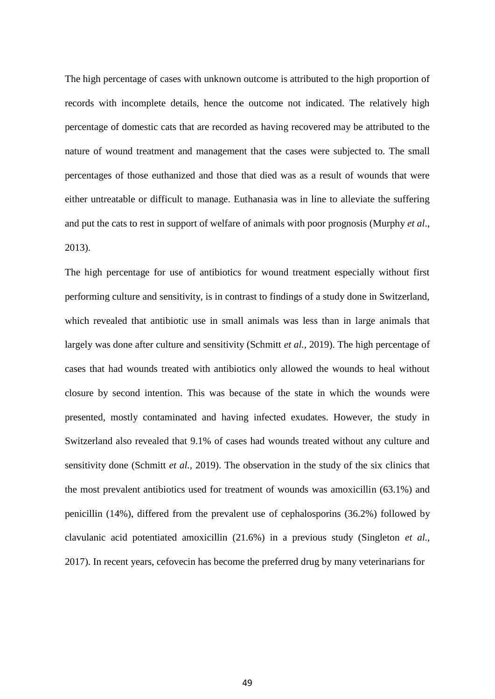The high percentage of cases with unknown outcome is attributed to the high proportion of records with incomplete details, hence the outcome not indicated. The relatively high percentage of domestic cats that are recorded as having recovered may be attributed to the nature of wound treatment and management that the cases were subjected to. The small percentages of those euthanized and those that died was as a result of wounds that were either untreatable or difficult to manage. Euthanasia was in line to alleviate the suffering and put the cats to rest in support of welfare of animals with poor prognosis (Murphy *et al*., 2013).

The high percentage for use of antibiotics for wound treatment especially without first performing culture and sensitivity, is in contrast to findings of a study done in Switzerland, which revealed that antibiotic use in small animals was less than in large animals that largely was done after culture and sensitivity (Schmitt *et al.,* 2019). The high percentage of cases that had wounds treated with antibiotics only allowed the wounds to heal without closure by second intention. This was because of the state in which the wounds were presented, mostly contaminated and having infected exudates. However, the study in Switzerland also revealed that 9.1% of cases had wounds treated without any culture and sensitivity done (Schmitt *et al.,* 2019). The observation in the study of the six clinics that the most prevalent antibiotics used for treatment of wounds was amoxicillin (63.1%) and penicillin (14%), differed from the prevalent use of cephalosporins (36.2%) followed by clavulanic acid potentiated amoxicillin (21.6%) in a previous study (Singleton *et al.,* 2017). In recent years, cefovecin has become the preferred drug by many veterinarians for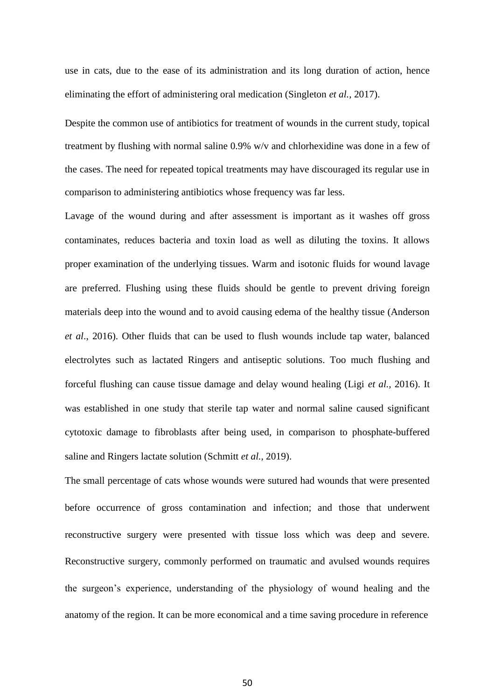use in cats, due to the ease of its administration and its long duration of action, hence eliminating the effort of administering oral medication (Singleton *et al.,* 2017).

Despite the common use of antibiotics for treatment of wounds in the current study, topical treatment by flushing with normal saline 0.9% w/v and chlorhexidine was done in a few of the cases. The need for repeated topical treatments may have discouraged its regular use in comparison to administering antibiotics whose frequency was far less.

Lavage of the wound during and after assessment is important as it washes off gross contaminates, reduces bacteria and toxin load as well as diluting the toxins. It allows proper examination of the underlying tissues. Warm and isotonic fluids for wound lavage are preferred. Flushing using these fluids should be gentle to prevent driving foreign materials deep into the wound and to avoid causing edema of the healthy tissue (Anderson *et al*., 2016). Other fluids that can be used to flush wounds include tap water, balanced electrolytes such as lactated Ringers and antiseptic solutions. Too much flushing and forceful flushing can cause tissue damage and delay wound healing (Ligi *et al.,* 2016). It was established in one study that sterile tap water and normal saline caused significant cytotoxic damage to fibroblasts after being used, in comparison to phosphate-buffered saline and Ringers lactate solution (Schmitt *et al.,* 2019).

The small percentage of cats whose wounds were sutured had wounds that were presented before occurrence of gross contamination and infection; and those that underwent reconstructive surgery were presented with tissue loss which was deep and severe. Reconstructive surgery, commonly performed on traumatic and avulsed wounds requires the surgeon's experience, understanding of the physiology of wound healing and the anatomy of the region. It can be more economical and a time saving procedure in reference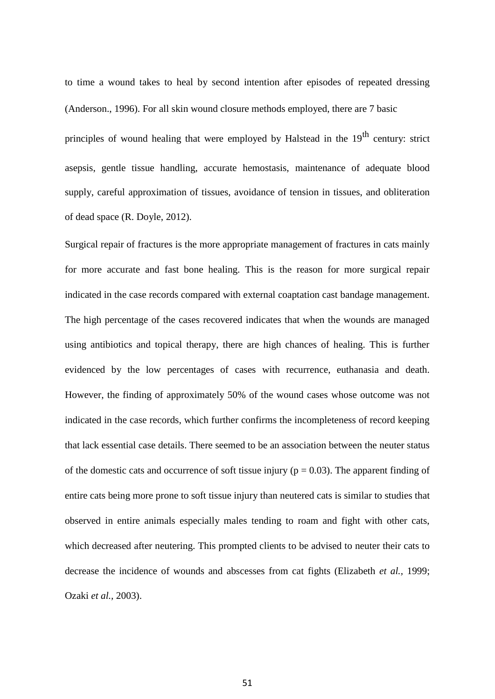to time a wound takes to heal by second intention after episodes of repeated dressing (Anderson., 1996). For all skin wound closure methods employed, there are 7 basic

principles of wound healing that were employed by Halstead in the 19<sup>th</sup> century: strict asepsis, gentle tissue handling, accurate hemostasis, maintenance of adequate blood supply, careful approximation of tissues, avoidance of tension in tissues, and obliteration of dead space (R. Doyle, 2012).

Surgical repair of fractures is the more appropriate management of fractures in cats mainly for more accurate and fast bone healing. This is the reason for more surgical repair indicated in the case records compared with external coaptation cast bandage management. The high percentage of the cases recovered indicates that when the wounds are managed using antibiotics and topical therapy, there are high chances of healing. This is further evidenced by the low percentages of cases with recurrence, euthanasia and death. However, the finding of approximately 50% of the wound cases whose outcome was not indicated in the case records, which further confirms the incompleteness of record keeping that lack essential case details. There seemed to be an association between the neuter status of the domestic cats and occurrence of soft tissue injury ( $p = 0.03$ ). The apparent finding of entire cats being more prone to soft tissue injury than neutered cats is similar to studies that observed in entire animals especially males tending to roam and fight with other cats, which decreased after neutering. This prompted clients to be advised to neuter their cats to decrease the incidence of wounds and abscesses from cat fights (Elizabeth *et al.,* 1999; Ozaki *et al.,* 2003).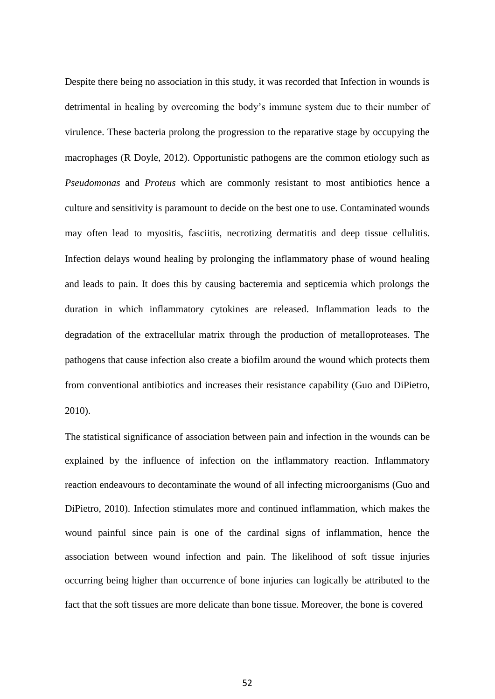Despite there being no association in this study, it was recorded that Infection in wounds is detrimental in healing by overcoming the body's immune system due to their number of virulence. These bacteria prolong the progression to the reparative stage by occupying the macrophages (R Doyle, 2012). Opportunistic pathogens are the common etiology such as *Pseudomonas* and *Proteus* which are commonly resistant to most antibiotics hence a culture and sensitivity is paramount to decide on the best one to use. Contaminated wounds may often lead to myositis, fasciitis, necrotizing dermatitis and deep tissue cellulitis. Infection delays wound healing by prolonging the inflammatory phase of wound healing and leads to pain. It does this by causing bacteremia and septicemia which prolongs the duration in which inflammatory cytokines are released. Inflammation leads to the degradation of the extracellular matrix through the production of metalloproteases. The pathogens that cause infection also create a biofilm around the wound which protects them from conventional antibiotics and increases their resistance capability (Guo and DiPietro, 2010).

The statistical significance of association between pain and infection in the wounds can be explained by the influence of infection on the inflammatory reaction. Inflammatory reaction endeavours to decontaminate the wound of all infecting microorganisms (Guo and DiPietro, 2010). Infection stimulates more and continued inflammation, which makes the wound painful since pain is one of the cardinal signs of inflammation, hence the association between wound infection and pain. The likelihood of soft tissue injuries occurring being higher than occurrence of bone injuries can logically be attributed to the fact that the soft tissues are more delicate than bone tissue. Moreover, the bone is covered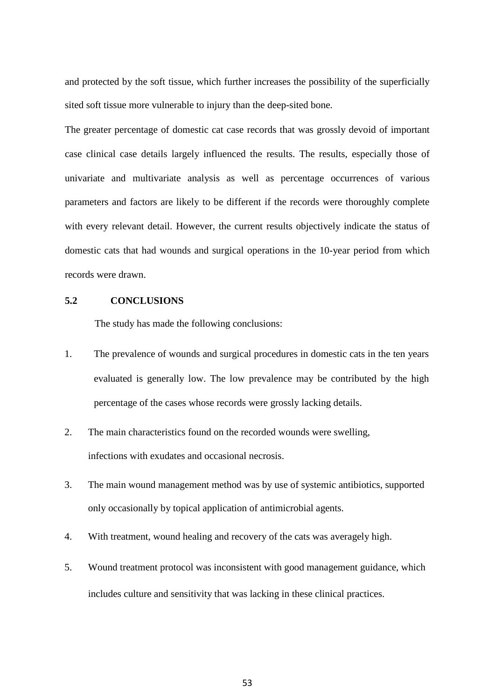and protected by the soft tissue, which further increases the possibility of the superficially sited soft tissue more vulnerable to injury than the deep-sited bone.

The greater percentage of domestic cat case records that was grossly devoid of important case clinical case details largely influenced the results. The results, especially those of univariate and multivariate analysis as well as percentage occurrences of various parameters and factors are likely to be different if the records were thoroughly complete with every relevant detail. However, the current results objectively indicate the status of domestic cats that had wounds and surgical operations in the 10-year period from which records were drawn.

### **5.2 CONCLUSIONS**

The study has made the following conclusions:

- 1. The prevalence of wounds and surgical procedures in domestic cats in the ten years evaluated is generally low. The low prevalence may be contributed by the high percentage of the cases whose records were grossly lacking details.
- 2. The main characteristics found on the recorded wounds were swelling, infections with exudates and occasional necrosis.
- 3. The main wound management method was by use of systemic antibiotics, supported only occasionally by topical application of antimicrobial agents.
- 4. With treatment, wound healing and recovery of the cats was averagely high.
- 5. Wound treatment protocol was inconsistent with good management guidance, which includes culture and sensitivity that was lacking in these clinical practices.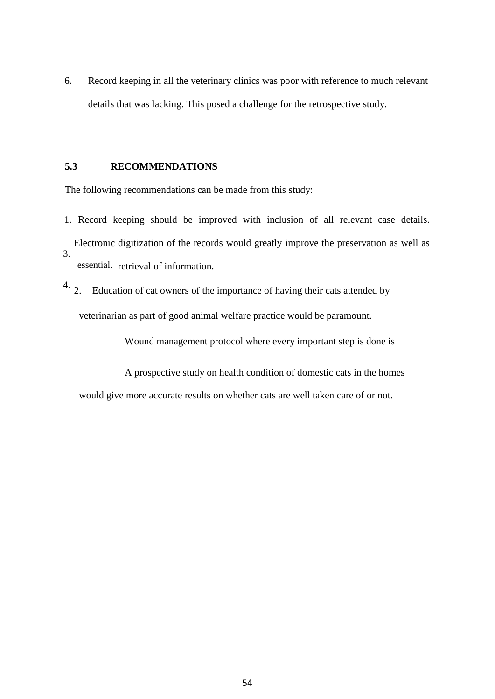6. Record keeping in all the veterinary clinics was poor with reference to much relevant details that was lacking. This posed a challenge for the retrospective study.

### **5.3 RECOMMENDATIONS**

The following recommendations can be made from this study:

- 1. Record keeping should be improved with inclusion of all relevant case details. Electronic digitization of the records would greatly improve the preservation as well as essential. retrieval of information. 3.
- $4.2.$  Education of cat owners of the importance of having their cats attended by veterinarian as part of good animal welfare practice would be paramount.

Wound management protocol where every important step is done is

A prospective study on health condition of domestic cats in the homes

would give more accurate results on whether cats are well taken care of or not.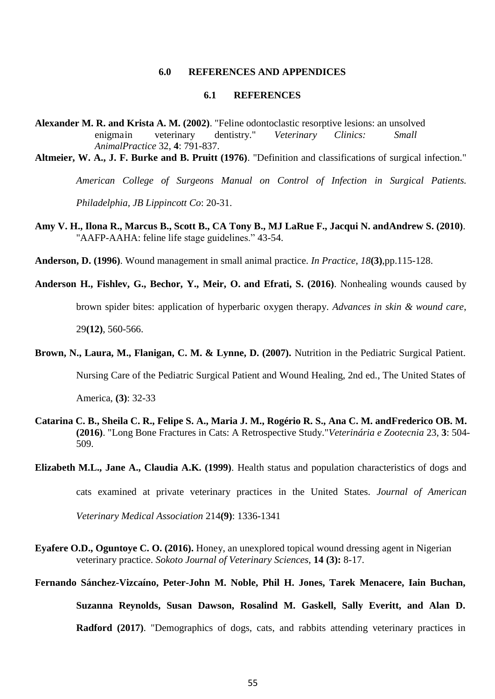### **6.0 REFERENCES AND APPENDICES**

### **6.1 REFERENCES**

**Alexander M. R. and Krista A. M. (2002)**. "Feline odontoclastic resorptive lesions: an unsolved enigmain veterinary dentistry." *Veterinary Clinics: Small AnimalPractice* 32, **4**: 791-837.

**Altmeier, W. A., J. F. Burke and B. Pruitt (1976)**. "Definition and classifications of surgical infection."

*American College of Surgeons Manual on Control of Infection in Surgical Patients.* 

*Philadelphia, JB Lippincott Co*: 20-31.

**Amy V. H., Ilona R., Marcus B., Scott B., CA Tony B., MJ LaRue F., Jacqui N. andAndrew S. (2010)**. "AAFP-AAHA: feline life stage guidelines." 43-54.

**Anderson, D. (1996)**. Wound management in small animal practice. *In Practice*, *18***(3)**,pp.115-128.

**Anderson H., Fishlev, G., Bechor, Y., Meir, O. and Efrati, S. (2016)**. Nonhealing wounds caused by brown spider bites: application of hyperbaric oxygen therapy. *Advances in skin & wound care*, 29**(12)**, 560-566.

**Brown, N., Laura, M., Flanigan, C. M. & Lynne, D. (2007).** Nutrition in the Pediatric Surgical Patient.

Nursing Care of the Pediatric Surgical Patient and Wound Healing, 2nd ed., The United States of

America, **(3)**: 32-33

**Catarina C. B., Sheila C. R., Felipe S. A., Maria J. M., Rogério R. S., Ana C. M. andFrederico OB. M. (2016)**. "Long Bone Fractures in Cats: A Retrospective Study."*Veterinária e Zootecnia* 23, **3**: 504- 509.

**Elizabeth M.L., Jane A., Claudia A.K. (1999)**. Health status and population characteristics of dogs and

cats examined at private veterinary practices in the United States. *Journal of American* 

*Veterinary Medical Association* 214**(9)**: 1336-1341

- **Eyafere O.D., Oguntoye C. O. (2016).** Honey, an unexplored topical wound dressing agent in Nigerian veterinary practice. *Sokoto Journal of Veterinary Sciences*, **14 (3):** 8-17.
- **Fernando Sánchez-Vizcaíno, Peter-John M. Noble, Phil H. Jones, Tarek Menacere, Iain Buchan,**

**Suzanna Reynolds, Susan Dawson, Rosalind M. Gaskell, Sally Everitt, and Alan D.** 

**Radford (2017)**. "Demographics of dogs, cats, and rabbits attending veterinary practices in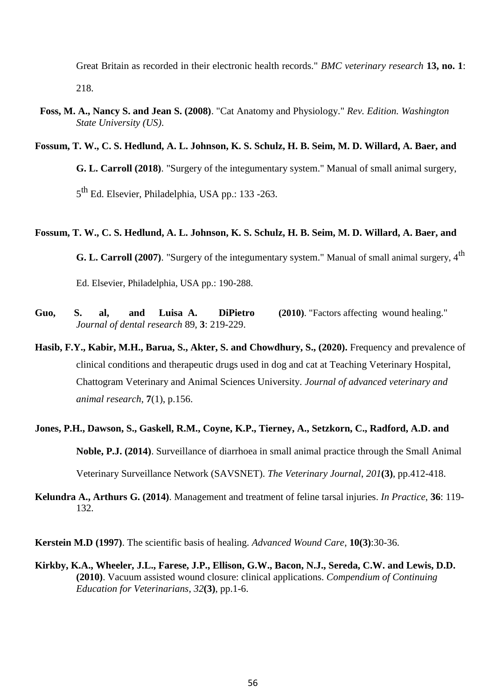Great Britain as recorded in their electronic health records." *BMC veterinary research* **13, no. 1**: 218.

 **Foss, M. A., Nancy S. and Jean S. (2008)**. "Cat Anatomy and Physiology." *Rev. Edition. Washington State University (US)*.

### **Fossum, T. W., C. S. Hedlund, A. L. Johnson, K. S. Schulz, H. B. Seim, M. D. Willard, A. Baer, and**

**G. L. Carroll (2018)**. "Surgery of the integumentary system." Manual of small animal surgery,

5<sup>th</sup> Ed. Elsevier, Philadelphia, USA pp.: 133 -263.

### **Fossum, T. W., C. S. Hedlund, A. L. Johnson, K. S. Schulz, H. B. Seim, M. D. Willard, A. Baer, and**

**G. L. Carroll (2007)**. "Surgery of the integumentary system." Manual of small animal surgery, 4<sup>th</sup>

Ed. Elsevier, Philadelphia, USA pp.: 190-288.

- **Guo, S. al, and Luisa A. DiPietro (2010)**. "Factors affecting wound healing." *Journal of dental research* 89, **3**: 219-229.
- **Hasib, F.Y., Kabir, M.H., Barua, S., Akter, S. and Chowdhury, S., (2020).** Frequency and prevalence of clinical conditions and therapeutic drugs used in dog and cat at Teaching Veterinary Hospital, Chattogram Veterinary and Animal Sciences University. *Journal of advanced veterinary and animal research*, **7**(1), p.156.
- **Jones, P.H., Dawson, S., Gaskell, R.M., Coyne, K.P., Tierney, A., Setzkorn, C., Radford, A.D. and Noble, P.J. (2014)**. Surveillance of diarrhoea in small animal practice through the Small Animal Veterinary Surveillance Network (SAVSNET). *The Veterinary Journal*, *201***(3)**, pp.412-418.

**Kelundra A., Arthurs G. (2014)**. Management and treatment of feline tarsal injuries. *In Practice*, **36**: 119- 132.

**Kerstein M.D (1997)**. The scientific basis of healing. *Advanced Wound Care*, **10(3)**:30-36.

**Kirkby, K.A., Wheeler, J.L., Farese, J.P., Ellison, G.W., Bacon, N.J., Sereda, C.W. and Lewis, D.D. (2010)**. Vacuum assisted wound closure: clinical applications. *Compendium of Continuing Education for Veterinarians*, *32***(3)**, pp.1-6.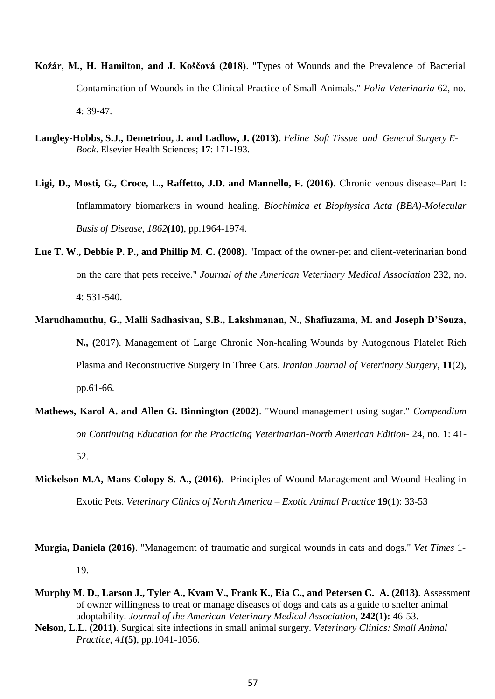- **Kožár, M., H. Hamilton, and J. Koščová (2018)**. "Types of Wounds and the Prevalence of Bacterial Contamination of Wounds in the Clinical Practice of Small Animals." *Folia Veterinaria* 62, no. **4**: 39-47.
- **Langley-Hobbs, S.J., Demetriou, J. and Ladlow, J. (2013)**. *Feline Soft Tissue and General Surgery E-Book*. Elsevier Health Sciences; **17**: 171-193.
- **Ligi, D., Mosti, G., Croce, L., Raffetto, J.D. and Mannello, F. (2016)**. Chronic venous disease–Part I: Inflammatory biomarkers in wound healing. *Biochimica et Biophysica Acta (BBA)-Molecular Basis of Disease*, *1862***(10)**, pp.1964-1974.
- **Lue T. W., Debbie P. P., and Phillip M. C. (2008)**. "Impact of the owner-pet and client-veterinarian bond on the care that pets receive." *Journal of the American Veterinary Medical Association* 232, no. **4**: 531-540.
- **Marudhamuthu, G., Malli Sadhasivan, S.B., Lakshmanan, N., Shafiuzama, M. and Joseph D'Souza, N., (**2017). Management of Large Chronic Non-healing Wounds by Autogenous Platelet Rich Plasma and Reconstructive Surgery in Three Cats. *Iranian Journal of Veterinary Surgery*, **11**(2), pp.61-66.
- **Mathews, Karol A. and Allen G. Binnington (2002)**. "Wound management using sugar." *Compendium on Continuing Education for the Practicing Veterinarian-North American Edition-* 24, no. **1**: 41- 52.
- **Mickelson M.A, Mans Colopy S. A., (2016).** Principles of Wound Management and Wound Healing in Exotic Pets. *Veterinary Clinics of North America – Exotic Animal Practice* **19**(1): 33-53

**Murgia, Daniela (2016)**. "Management of traumatic and surgical wounds in cats and dogs." *Vet Times* 1- 19.

- **Murphy M. D., Larson J., Tyler A., Kvam V., Frank K., Eia C., and Petersen C. A. (2013)**. Assessment of owner willingness to treat or manage diseases of dogs and cats as a guide to shelter animal adoptability. *Journal of the American Veterinary Medical Association*, **242(1):** 46-53.
- **Nelson, L.L. (2011)**. Surgical site infections in small animal surgery. *Veterinary Clinics: Small Animal Practice*, *41***(5)**, pp.1041-1056.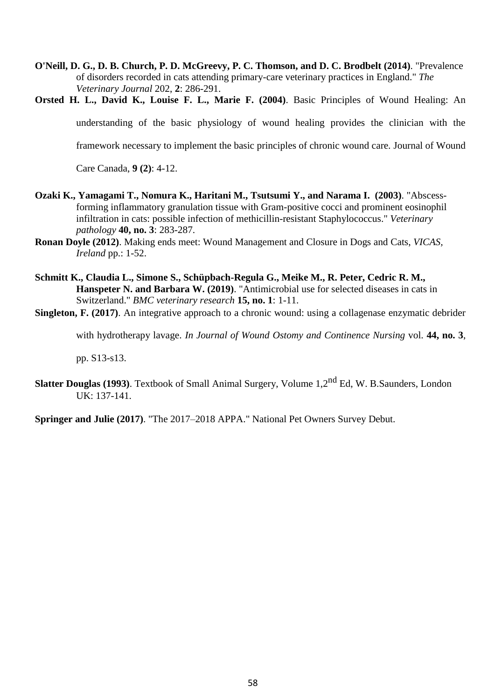- **O'Neill, D. G., D. B. Church, P. D. McGreevy, P. C. Thomson, and D. C. Brodbelt (2014)**. "Prevalence of disorders recorded in cats attending primary-care veterinary practices in England." *The Veterinary Journal* 202, **2**: 286-291.
- **Orsted H. L., David K., Louise F. L., Marie F. (2004)**. Basic Principles of Wound Healing: An understanding of the basic physiology of wound healing provides the clinician with the framework necessary to implement the basic principles of chronic wound care. Journal of Wound Care Canada, **9 (2)**: 4-12.
- **Ozaki K., Yamagami T., Nomura K., Haritani M., Tsutsumi Y., and Narama I. (2003)**. "Abscessforming inflammatory granulation tissue with Gram-positive cocci and prominent eosinophil infiltration in cats: possible infection of methicillin-resistant Staphylococcus." *Veterinary pathology* **40, no. 3**: 283-287.
- **Ronan Doyle (2012)**. Making ends meet: Wound Management and Closure in Dogs and Cats, *VICAS, Ireland* pp.: 1-52.
- **Schmitt K., Claudia L., Simone S., Schüpbach-Regula G., Meike M., R. Peter, Cedric R. M., Hanspeter N. and Barbara W. (2019)**. "Antimicrobial use for selected diseases in cats in Switzerland." *BMC veterinary research* **15, no. 1**: 1-11.
- **Singleton, F. (2017)**. An integrative approach to a chronic wound: using a collagenase enzymatic debrider

with hydrotherapy lavage. *In Journal of Wound Ostomy and Continence Nursing* vol. **44, no. 3**,

pp. S13-s13.

**Slatter Douglas (1993)**. Textbook of Small Animal Surgery, Volume 1,2nd Ed, W. B.Saunders, London UK: 137-141.

**Springer and Julie (2017)**. "The 2017–2018 APPA." National Pet Owners Survey Debut.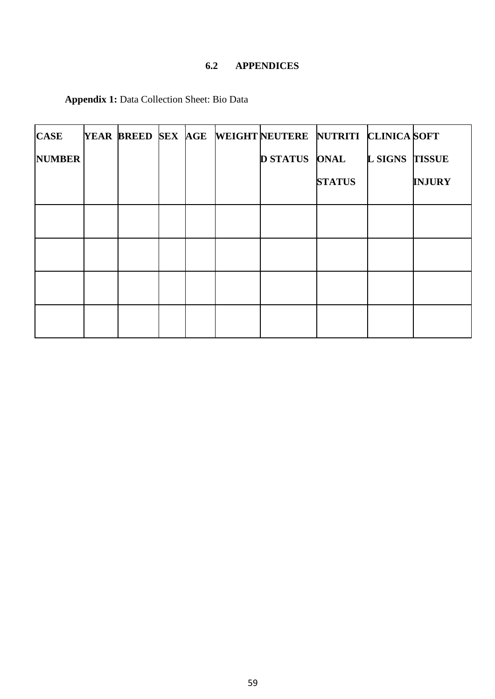# **6.2 APPENDICES**

| <b>CASE</b>   |  |  | YEAR BREED SEX AGE WEIGHTNEUTERE NUTRITI CLINICA SOFT |               |                       |               |
|---------------|--|--|-------------------------------------------------------|---------------|-----------------------|---------------|
| <b>NUMBER</b> |  |  | <b>D STATUS ONAL</b>                                  |               | <b>L SIGNS TISSUE</b> |               |
|               |  |  |                                                       | <b>STATUS</b> |                       | <b>INJURY</b> |
|               |  |  |                                                       |               |                       |               |
|               |  |  |                                                       |               |                       |               |
|               |  |  |                                                       |               |                       |               |
|               |  |  |                                                       |               |                       |               |

**Appendix 1:** Data Collection Sheet: Bio Data